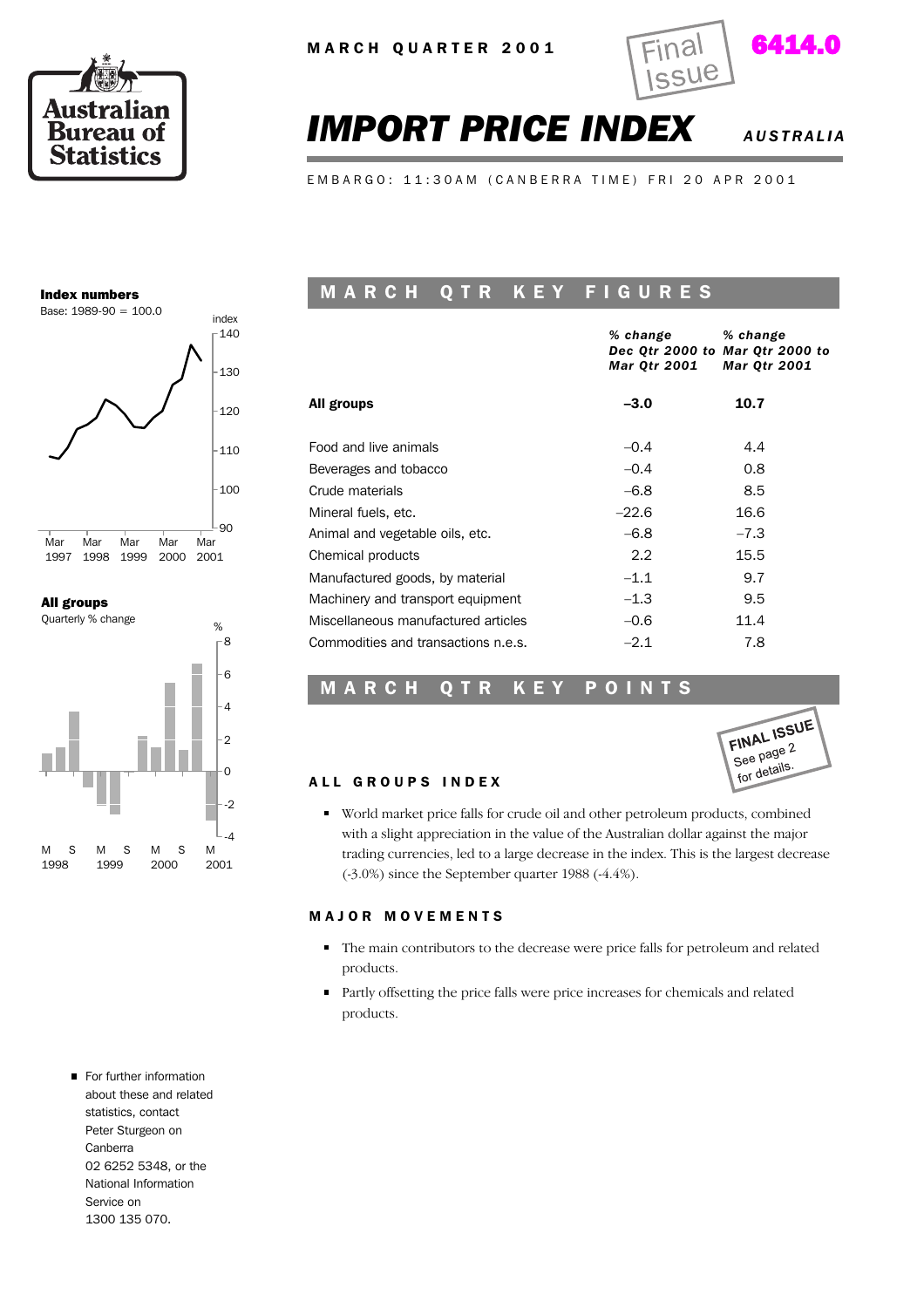



# *IMPORT PRICE INDEX AUSTRALIA*

E M B A R G O : 11:30 A M ( C A N B E R R A T I M E ) F R I 20 A P R 2001

#### Index numbers



All groups



For further information about these and related statistics, contact Peter Sturgeon on Canberra 02 6252 5348, or the National Information Service on 1300 135 070.

### MARCH QTR KEY FIGURES

|                                     | % change<br>Mar Qtr 2001 | % change<br>Dec Otr 2000 to Mar Otr 2000 to<br><b>Mar Qtr 2001</b> |
|-------------------------------------|--------------------------|--------------------------------------------------------------------|
| All groups                          | $-3.0$                   | 10.7                                                               |
| Food and live animals               | $-0.4$                   | 4.4                                                                |
| Beverages and tobacco               | $-0.4$                   | 0.8                                                                |
| Crude materials                     | $-6.8$                   | 8.5                                                                |
| Mineral fuels, etc.                 | $-22.6$                  | 16.6                                                               |
| Animal and vegetable oils, etc.     | $-6.8$                   | $-7.3$                                                             |
| Chemical products                   | $2.2^{\circ}$            | 15.5                                                               |
| Manufactured goods, by material     | $-1.1$                   | 9.7                                                                |
| Machinery and transport equipment   | $-1.3$                   | 9.5                                                                |
| Miscellaneous manufactured articles | $-0.6$                   | 11.4                                                               |
| Commodities and transactions n.e.s. | $-2.1$                   | 7.8                                                                |

#### MARCH QTR KEY POINTS



#### ALL GROUPS INDEX

World market price falls for crude oil and other petroleum products, combined with a slight appreciation in the value of the Australian dollar against the major trading currencies, led to a large decrease in the index. This is the largest decrease (-3.0%) since the September quarter 1988 (-4.4%).

#### M A J O R M O V E M E N T S

- The main contributors to the decrease were price falls for petroleum and related products.
- Partly offsetting the price falls were price increases for chemicals and related products.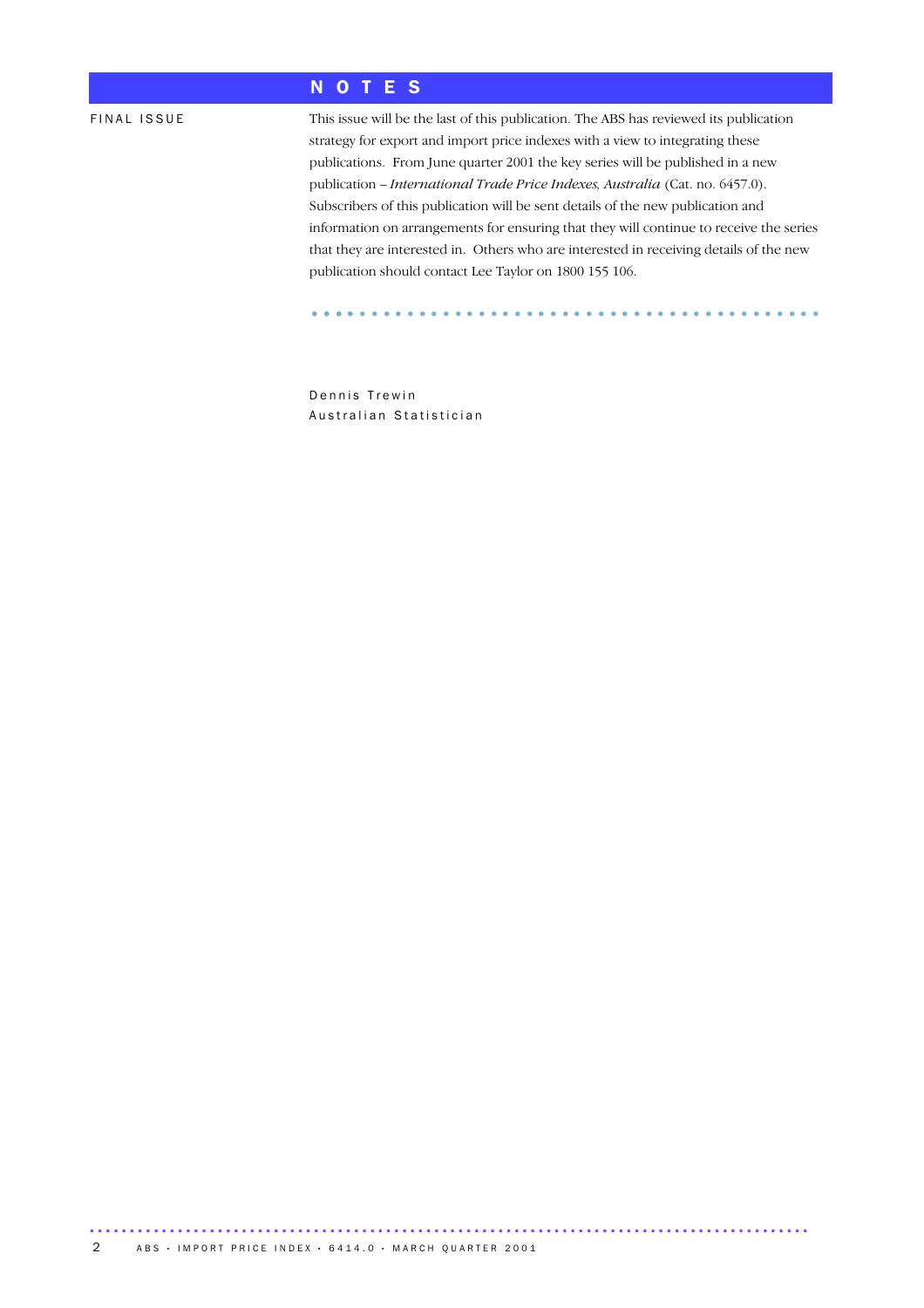### N O T E S

FINAL ISSUE This issue will be the last of this publication. The ABS has reviewed its publication strategy for export and import price indexes with a view to integrating these publications. From June quarter 2001 the key series will be published in a new publication – *International Trade Price Indexes, Australia* (Cat. no. 6457.0). Subscribers of this publication will be sent details of the new publication and information on arrangements for ensuring that they will continue to receive the series that they are interested in. Others who are interested in receiving details of the new publication should contact Lee Taylor on 1800 155 106.

........................................... ....

Dennis Trewin Australian Statistician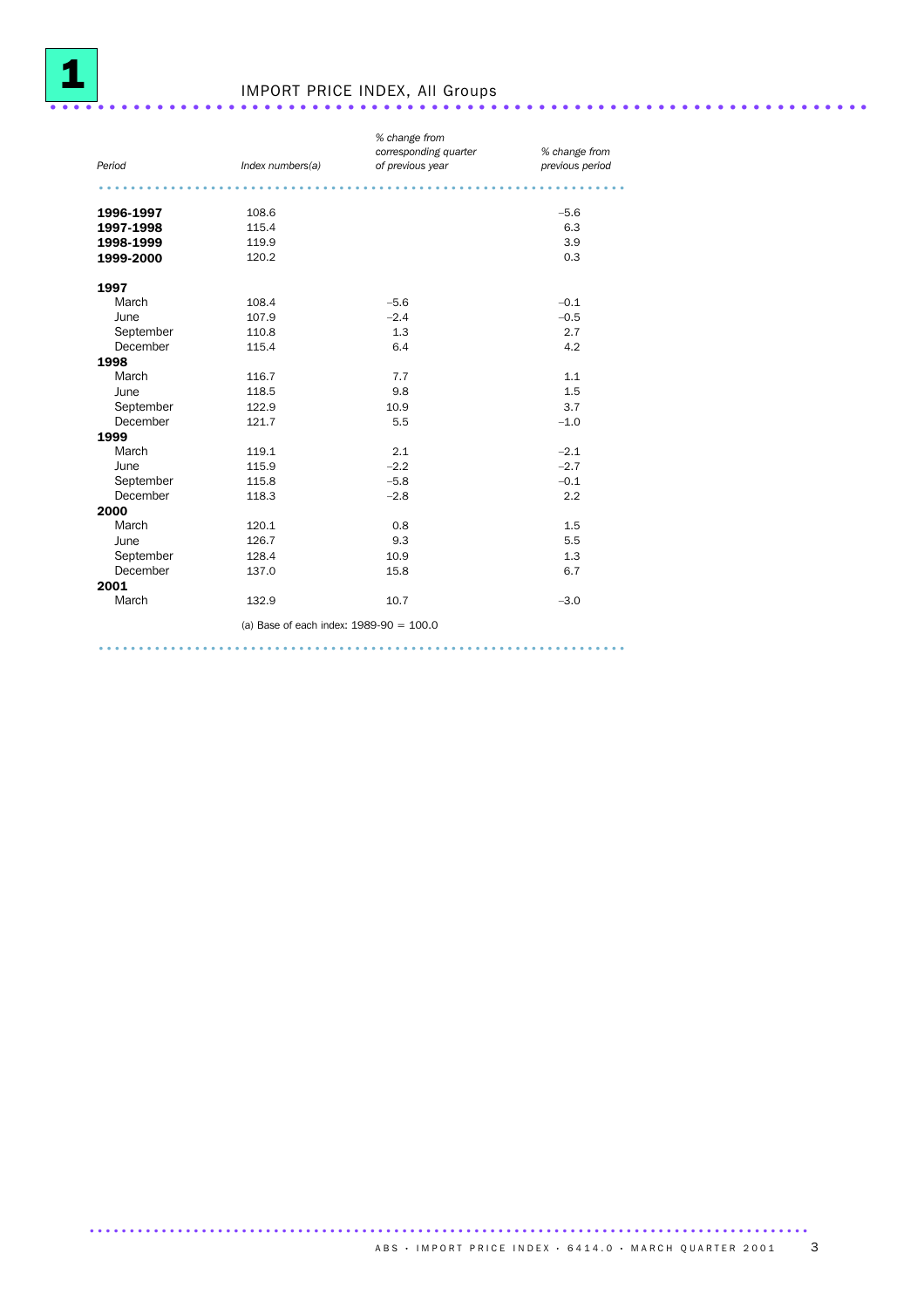

# IMPORT PRICE INDEX, All Groups .....................................................................

| Period    | Index numbers(a)                          | % change from<br>corresponding quarter<br>of previous year | % change from<br>previous period |
|-----------|-------------------------------------------|------------------------------------------------------------|----------------------------------|
|           |                                           |                                                            |                                  |
| 1996-1997 | 108.6                                     |                                                            | $-5.6$                           |
| 1997-1998 | 115.4                                     |                                                            | 6.3                              |
| 1998-1999 | 119.9                                     |                                                            | 3.9                              |
| 1999-2000 | 120.2                                     |                                                            | 0.3                              |
| 1997      |                                           |                                                            |                                  |
| March     | 108.4                                     | $-5.6$                                                     | $-0.1$                           |
| June      | 107.9                                     | $-2.4$                                                     | $-0.5$                           |
| September | 110.8                                     | 1.3                                                        | 2.7                              |
| December  | 115.4                                     | 6.4                                                        | 4.2                              |
| 1998      |                                           |                                                            |                                  |
| March     | 116.7                                     | 7.7                                                        | 1.1                              |
| June      | 118.5                                     | 9.8                                                        | 1.5                              |
| September | 122.9                                     | 10.9                                                       | 3.7                              |
| December  | 121.7                                     | 5.5                                                        | $-1.0$                           |
| 1999      |                                           |                                                            |                                  |
| March     | 119.1                                     | 2.1                                                        | $-2.1$                           |
| June      | 115.9                                     | $-2.2$                                                     | $-2.7$                           |
| September | 115.8                                     | $-5.8$                                                     | $-0.1$                           |
| December  | 118.3                                     | $-2.8$                                                     | 2.2                              |
| 2000      |                                           |                                                            |                                  |
| March     | 120.1                                     | 0.8                                                        | 1.5                              |
| June      | 126.7                                     | 9.3                                                        | 5.5                              |
| September | 128.4                                     | 10.9                                                       | 1.3                              |
| December  | 137.0                                     | 15.8                                                       | 6.7                              |
| 2001      |                                           |                                                            |                                  |
| March     | 132.9                                     | 10.7                                                       | $-3.0$                           |
|           | (a) Base of each index: $1989-90 = 100.0$ |                                                            |                                  |

..................................................................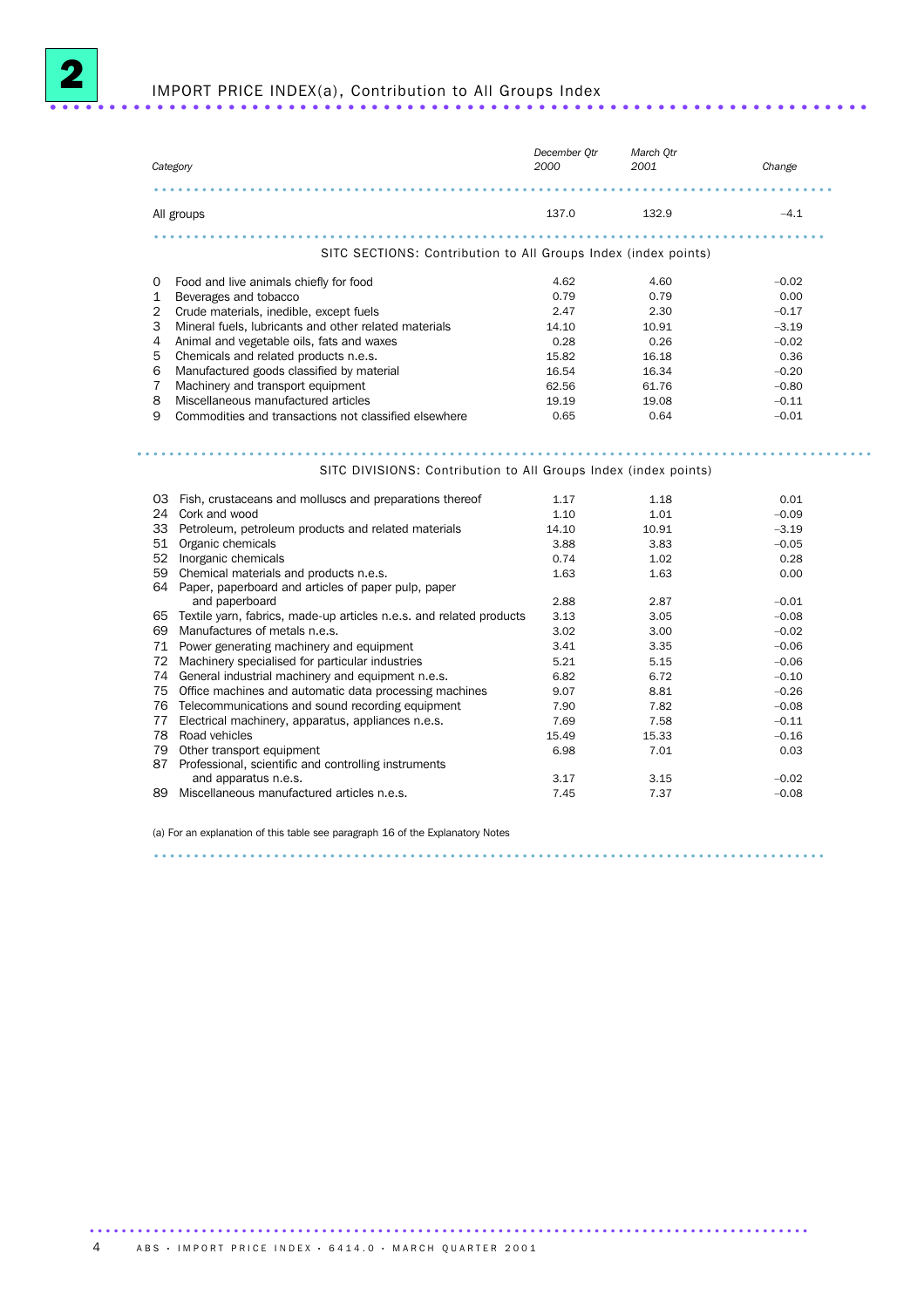

### IMPORT PRICE INDEX(a), Contribution to All Groups Index ..................................................................... .

*Category December Qtr 2000 March Qtr 2001 Change* ..................................................................................... All groups 137.0 132.9 –4.1 .................................................................................... SITC SECTIONS: Contribution to All Groups Index (index points) 0 Food and live animals chiefly for food<br>
1 Beverages and tobacco<br>
2 Crude materials, inedible, except fuels<br>
4.62 – 4.60 – 4.60 – 0.02<br>
2.79 – 0.00<br>
2.47 – 2.30 – 0.17 1 Beverages and tobacco 2 Crude materials, inedible, except fuels 2.47 2.30 –0.17 3 Mineral fuels, lubricants and other related materials 14.10 10.91 –3.19<br>
4 Animal and vegetable oils, fats and waxes 15.82 16.18 –0.02<br>
5 Chemicals and related products n.e.s. 15.82 16.18 16.18 16.18 4 Animal and vegetable oils, fats and waxes 0.28 0.26 0.26 –0.02<br>5 Chemicals and related products n.e.s. 15.82 16.18 0.36 5 Chemicals and related products n.e.s. 15.82 16.18 16.18 0.36<br>16.54 16.34 16.34 16.34 16.54 16.34 16.54 16.34 Manufactured goods classified by material 16.54 16.34 16.34<br>
Machinery and transport equipment 62.56 61.76 7 Machinery and transport equipment 62.56 61.76 –0.80 62.56 61.76 –0.80 62.56 61.76 –0.80 Miscellaneous manufactured articles 19.19 19.19 19.08 -0.11 9 Commodities and transactions not classified elsewhere 0.65 0.64 –0.01 ............................................................................................ . SITC DIVISIONS: Contribution to All Groups Index (index points) O3 Fish, crustaceans and molluscs and preparations thereof 1.17 1.18 1.18 1.18 0.01 24 Cork and wood and the core of the core of the core of the core of the core of the core of the core of the core of the core of the core of the core of the core of the core of the core of the core of the core of the core 33 Petroleum, petroleum products and related materials 14.10 10.91 10.91 –3.19<br>51 Organic chemicals 16 and related materials 14.10 10.91 3.83 51 Organic chemicals 3.88 3.83 –0.05 52 Inorganic chemicals 0.74 1.02 0.28 59 Chemical materials and products n.e.s. 64 Paper, paperboard and articles of paper pulp, paper 1.63 1.63 0.00 and paperboard and paperboard and paperboard and paperboard and paperboard and paperboard and control of the c<br>axtile varn. fabrics. made-up articles n.e.s. and related products 3.13 3.05 –0.08 65 Textile yarn, fabrics, made-up articles n.e.s. and related products 3.13 3.05 –0.08 69 Manufactures of metals n.e.s.  $\begin{array}{cccc} 69 & \text{Mannifactures of metals n.e.s.} \\ 71 & \text{Power generating machinery and equipment} \\ 3.41 & 3.35 \end{array}$  3.00 –0.06 71 Power generating machinery and equipment 3.41 5.35<br>
72 Machinery specialised for particular industries 5.21 5.15 72 Machinery specialised for particular industries 5.21 5.15 –0.06 74 General industrial machinery and equipment n.e.s. 6.82 6.72 6.72 – 0.10<br>75 Office machines and automatic data processing machines 9.07 8.81 – 0.26 75 Office machines and automatic data processing machines  $\begin{array}{ccc} 9.07 & 8.81 & -0.26 \\ 76 & \text{Telecommunications and sound recording equipment} & 7.90 & 7.82 \end{array}$ 76 Telecommunications and sound recording equipment 7.90 7.82 -0.08 –0.08<br>77 Electrical machinery, apparatus, appliances n.e.s. 7.69 7.58 7.58 –0.11 77 Electrical machinery, apparatus, appliances n.e.s. 7.69 7.58 –0.11

|     | TT LIEUTIUM IIIMUIIIIIEI Y, apparatus, appliarius III.e.s. | ເ.ບສ  | 7.OO  | $-0.11$ |
|-----|------------------------------------------------------------|-------|-------|---------|
|     | 78 Road vehicles                                           | 15.49 | 15.33 | $-0.16$ |
|     | 79 Other transport equipment                               | 6.98  | 7.01  | 0.03    |
|     | 87 Professional, scientific and controlling instruments    |       |       |         |
|     | and apparatus n.e.s.                                       | 3.17  | 3.15  | $-0.02$ |
| 89. | Miscellaneous manufactured articles n.e.s.                 | 7.45  | 7.37  | $-0.08$ |
|     |                                                            |       |       |         |

....................................................................................

(a) For an explanation of this table see paragraph 16 of the Explanatory Notes

.......................................................................................... ABS • IMPORT PRICE INDEX • 6414.0 • MARCH QUARTER 2001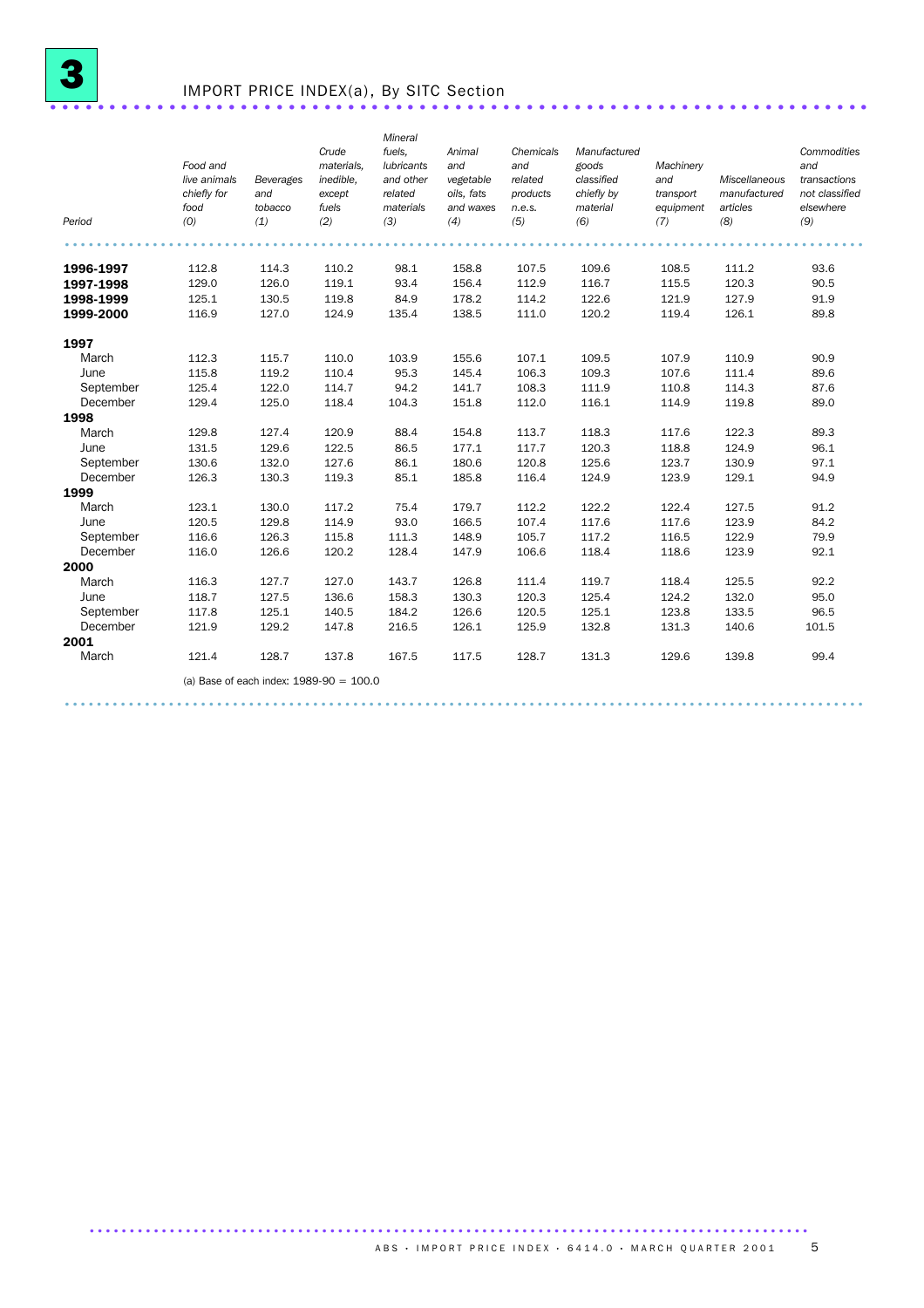

## IMPORT PRICE INDEX(a), By SITC Section .....................................................................

| Period                 | Food and<br>live animals<br>chiefly for<br>food<br>(0) | <b>Beverages</b><br>and<br>tobacco<br>(1) | Crude<br>materials.<br>inedible.<br>except<br>fuels<br>(2) | Mineral<br>fuels,<br><b>lubricants</b><br>and other<br>related<br>materials<br>(3) | Animal<br>and<br>vegetable<br>oils, fats<br>and waxes<br>(4) | Chemicals<br>and<br>related<br>products<br>n.e.s.<br>(5) | Manufactured<br>goods<br>classified<br>chiefly by<br>material<br>(6) | Machinery<br>and<br>transport<br>equipment<br>(7) | Miscellaneous<br>manufactured<br>articles<br>(8) | Commodities<br>and<br>transactions<br>not classified<br>elsewhere<br>(9) |
|------------------------|--------------------------------------------------------|-------------------------------------------|------------------------------------------------------------|------------------------------------------------------------------------------------|--------------------------------------------------------------|----------------------------------------------------------|----------------------------------------------------------------------|---------------------------------------------------|--------------------------------------------------|--------------------------------------------------------------------------|
|                        | 112.8                                                  | 114.3                                     | 110.2                                                      | 98.1                                                                               | 158.8                                                        | 107.5                                                    | 109.6                                                                | 108.5                                             | 111.2                                            | 93.6                                                                     |
| 1996-1997<br>1997-1998 | 129.0                                                  | 126.0                                     | 119.1                                                      | 93.4                                                                               | 156.4                                                        | 112.9                                                    | 116.7                                                                | 115.5                                             | 120.3                                            | 90.5                                                                     |
| 1998-1999              | 125.1                                                  | 130.5                                     | 119.8                                                      | 84.9                                                                               | 178.2                                                        | 114.2                                                    | 122.6                                                                | 121.9                                             | 127.9                                            | 91.9                                                                     |
| 1999-2000              | 116.9                                                  | 127.0                                     | 124.9                                                      | 135.4                                                                              | 138.5                                                        | 111.0                                                    | 120.2                                                                | 119.4                                             | 126.1                                            | 89.8                                                                     |
| 1997                   |                                                        |                                           |                                                            |                                                                                    |                                                              |                                                          |                                                                      |                                                   |                                                  |                                                                          |
| March                  | 112.3                                                  | 115.7                                     | 110.0                                                      | 103.9                                                                              | 155.6                                                        | 107.1                                                    | 109.5                                                                | 107.9                                             | 110.9                                            | 90.9                                                                     |
| June                   | 115.8                                                  | 119.2                                     | 110.4                                                      | 95.3                                                                               | 145.4                                                        | 106.3                                                    | 109.3                                                                | 107.6                                             | 111.4                                            | 89.6                                                                     |
| September              | 125.4                                                  | 122.0                                     | 114.7                                                      | 94.2                                                                               | 141.7                                                        | 108.3                                                    | 111.9                                                                | 110.8                                             | 114.3                                            | 87.6                                                                     |
| December               | 129.4                                                  | 125.0                                     | 118.4                                                      | 104.3                                                                              | 151.8                                                        | 112.0                                                    | 116.1                                                                | 114.9                                             | 119.8                                            | 89.0                                                                     |
| 1998                   |                                                        |                                           |                                                            |                                                                                    |                                                              |                                                          |                                                                      |                                                   |                                                  |                                                                          |
| March                  | 129.8                                                  | 127.4                                     | 120.9                                                      | 88.4                                                                               | 154.8                                                        | 113.7                                                    | 118.3                                                                | 117.6                                             | 122.3                                            | 89.3                                                                     |
| June                   | 131.5                                                  | 129.6                                     | 122.5                                                      | 86.5                                                                               | 177.1                                                        | 117.7                                                    | 120.3                                                                | 118.8                                             | 124.9                                            | 96.1                                                                     |
| September              | 130.6                                                  | 132.0                                     | 127.6                                                      | 86.1                                                                               | 180.6                                                        | 120.8                                                    | 125.6                                                                | 123.7                                             | 130.9                                            | 97.1                                                                     |
| December               | 126.3                                                  | 130.3                                     | 119.3                                                      | 85.1                                                                               | 185.8                                                        | 116.4                                                    | 124.9                                                                | 123.9                                             | 129.1                                            | 94.9                                                                     |
| 1999                   |                                                        |                                           |                                                            |                                                                                    |                                                              |                                                          |                                                                      |                                                   |                                                  |                                                                          |
| March                  | 123.1                                                  | 130.0                                     | 117.2                                                      | 75.4                                                                               | 179.7                                                        | 112.2                                                    | 122.2                                                                | 122.4                                             | 127.5                                            | 91.2                                                                     |
| June                   | 120.5                                                  | 129.8                                     | 114.9                                                      | 93.0                                                                               | 166.5                                                        | 107.4                                                    | 117.6                                                                | 117.6                                             | 123.9                                            | 84.2                                                                     |
| September              | 116.6                                                  | 126.3                                     | 115.8                                                      | 111.3                                                                              | 148.9                                                        | 105.7                                                    | 117.2                                                                | 116.5                                             | 122.9                                            | 79.9                                                                     |
| December               | 116.0                                                  | 126.6                                     | 120.2                                                      | 128.4                                                                              | 147.9                                                        | 106.6                                                    | 118.4                                                                | 118.6                                             | 123.9                                            | 92.1                                                                     |
| 2000                   |                                                        |                                           |                                                            |                                                                                    |                                                              |                                                          |                                                                      |                                                   |                                                  |                                                                          |
| March                  | 116.3                                                  | 127.7                                     | 127.0                                                      | 143.7                                                                              | 126.8                                                        | 111.4                                                    | 119.7                                                                | 118.4                                             | 125.5                                            | 92.2                                                                     |
| June                   | 118.7                                                  | 127.5                                     | 136.6                                                      | 158.3                                                                              | 130.3                                                        | 120.3                                                    | 125.4                                                                | 124.2                                             | 132.0                                            | 95.0                                                                     |
| September              | 117.8                                                  | 125.1                                     | 140.5                                                      | 184.2                                                                              | 126.6                                                        | 120.5                                                    | 125.1                                                                | 123.8                                             | 133.5                                            | 96.5                                                                     |
| December               | 121.9                                                  | 129.2                                     | 147.8                                                      | 216.5                                                                              | 126.1                                                        | 125.9                                                    | 132.8                                                                | 131.3                                             | 140.6                                            | 101.5                                                                    |
| 2001                   |                                                        |                                           |                                                            |                                                                                    |                                                              |                                                          |                                                                      |                                                   |                                                  |                                                                          |
| March                  | 121.4                                                  | 128.7                                     | 137.8                                                      | 167.5                                                                              | 117.5                                                        | 128.7                                                    | 131.3                                                                | 129.6                                             | 139.8                                            | 99.4                                                                     |
|                        |                                                        | (a) Base of each index: $1989-90 = 100.0$ |                                                            |                                                                                    |                                                              |                                                          |                                                                      |                                                   |                                                  |                                                                          |
|                        |                                                        |                                           |                                                            |                                                                                    |                                                              |                                                          |                                                                      |                                                   |                                                  |                                                                          |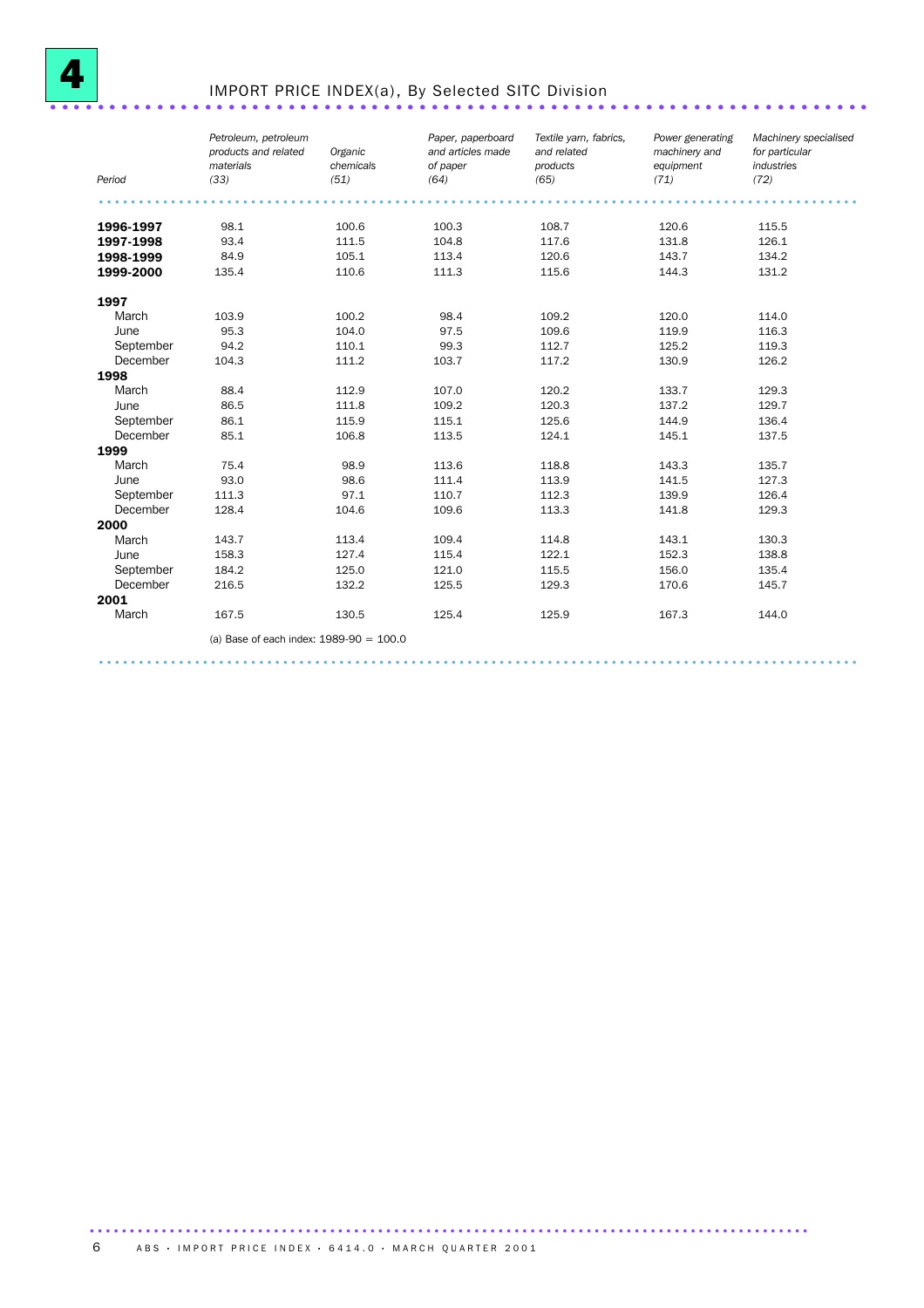

## IMPORT PRICE INDEX(a), By Selected SITC Division ................................

| Period    | Petroleum, petroleum<br>products and related<br>materials<br>(33) | Organic<br>chemicals<br>(51) | Paper, paperboard<br>and articles made<br>of paper<br>(64) | Textile yarn, fabrics,<br>and related<br>products<br>(65) | Power generating<br>machinery and<br>equipment<br>(71) | Machinery specialised<br>for particular<br>industries<br>(72) |
|-----------|-------------------------------------------------------------------|------------------------------|------------------------------------------------------------|-----------------------------------------------------------|--------------------------------------------------------|---------------------------------------------------------------|
|           |                                                                   |                              |                                                            |                                                           |                                                        |                                                               |
| 1996-1997 | 98.1                                                              | 100.6                        | 100.3                                                      | 108.7                                                     | 120.6                                                  | 115.5                                                         |
| 1997-1998 | 93.4                                                              | 111.5                        | 104.8                                                      | 117.6                                                     | 131.8                                                  | 126.1                                                         |
| 1998-1999 | 84.9                                                              | 105.1                        | 113.4                                                      | 120.6                                                     | 143.7                                                  | 134.2                                                         |
| 1999-2000 | 135.4                                                             | 110.6                        | 111.3                                                      | 115.6                                                     | 144.3                                                  | 131.2                                                         |
| 1997      |                                                                   |                              |                                                            |                                                           |                                                        |                                                               |
| March     | 103.9                                                             | 100.2                        | 98.4                                                       | 109.2                                                     | 120.0                                                  | 114.0                                                         |
| June      | 95.3                                                              | 104.0                        | 97.5                                                       | 109.6                                                     | 119.9                                                  | 116.3                                                         |
| September | 94.2                                                              | 110.1                        | 99.3                                                       | 112.7                                                     | 125.2                                                  | 119.3                                                         |
| December  | 104.3                                                             | 111.2                        | 103.7                                                      | 117.2                                                     | 130.9                                                  | 126.2                                                         |
| 1998      |                                                                   |                              |                                                            |                                                           |                                                        |                                                               |
| March     | 88.4                                                              | 112.9                        | 107.0                                                      | 120.2                                                     | 133.7                                                  | 129.3                                                         |
| June      | 86.5                                                              | 111.8                        | 109.2                                                      | 120.3                                                     | 137.2                                                  | 129.7                                                         |
| September | 86.1                                                              | 115.9                        | 115.1                                                      | 125.6                                                     | 144.9                                                  | 136.4                                                         |
| December  | 85.1                                                              | 106.8                        | 113.5                                                      | 124.1                                                     | 145.1                                                  | 137.5                                                         |
| 1999      |                                                                   |                              |                                                            |                                                           |                                                        |                                                               |
| March     | 75.4                                                              | 98.9                         | 113.6                                                      | 118.8                                                     | 143.3                                                  | 135.7                                                         |
| June      | 93.0                                                              | 98.6                         | 111.4                                                      | 113.9                                                     | 141.5                                                  | 127.3                                                         |
| September | 111.3                                                             | 97.1                         | 110.7                                                      | 112.3                                                     | 139.9                                                  | 126.4                                                         |
| December  | 128.4                                                             | 104.6                        | 109.6                                                      | 113.3                                                     | 141.8                                                  | 129.3                                                         |
| 2000      |                                                                   |                              |                                                            |                                                           |                                                        |                                                               |
| March     | 143.7                                                             | 113.4                        | 109.4                                                      | 114.8                                                     | 143.1                                                  | 130.3                                                         |
| June      | 158.3                                                             | 127.4                        | 115.4                                                      | 122.1                                                     | 152.3                                                  | 138.8                                                         |
| September | 184.2                                                             | 125.0                        | 121.0                                                      | 115.5                                                     | 156.0                                                  | 135.4                                                         |
| December  | 216.5                                                             | 132.2                        | 125.5                                                      | 129.3                                                     | 170.6                                                  | 145.7                                                         |
| 2001      |                                                                   |                              |                                                            |                                                           |                                                        |                                                               |
| March     | 167.5                                                             | 130.5                        | 125.4                                                      | 125.9                                                     | 167.3                                                  | 144.0                                                         |
|           | (a) Base of each index: $1989-90 = 100.0$                         |                              |                                                            |                                                           |                                                        |                                                               |

...............................................................................................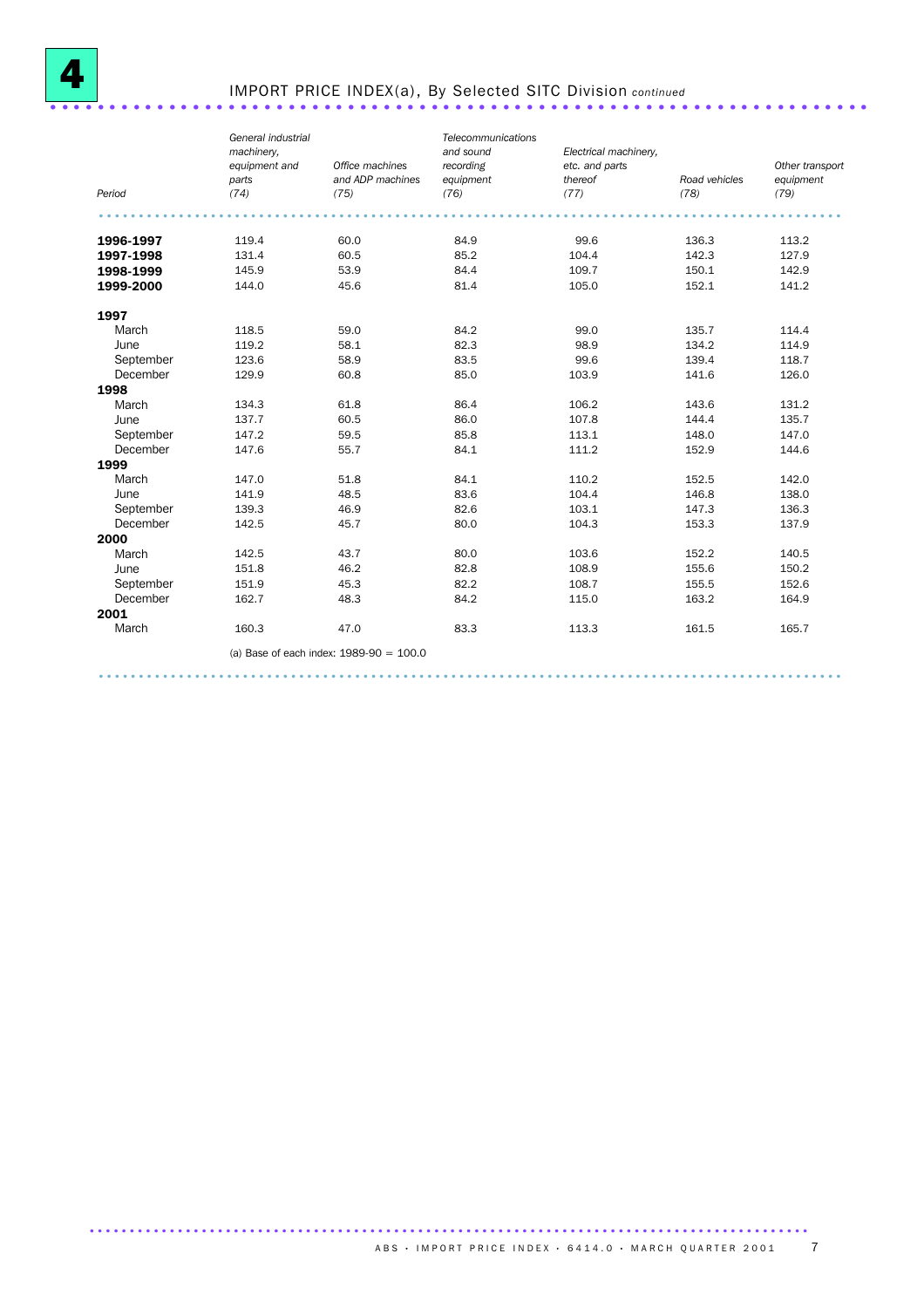

# IMPORT PRICE INDEX(a), By Selected SITC Division *continued* .....................................................................

| Period    | General industrial<br>machinery.<br>equipment and<br>parts<br>(74) | Office machines<br>and ADP machines<br>(75) | Telecommunications<br>and sound<br>recording<br>equipment<br>(76) | Electrical machinery,<br>etc. and parts<br>thereof<br>(77) | Road vehicles<br>(78) | Other transport<br>equipment<br>(79) |
|-----------|--------------------------------------------------------------------|---------------------------------------------|-------------------------------------------------------------------|------------------------------------------------------------|-----------------------|--------------------------------------|
|           |                                                                    |                                             |                                                                   |                                                            |                       |                                      |
|           |                                                                    |                                             |                                                                   |                                                            |                       |                                      |
| 1996-1997 | 119.4                                                              | 60.0                                        | 84.9                                                              | 99.6                                                       | 136.3                 | 113.2                                |
| 1997-1998 | 131.4                                                              | 60.5                                        | 85.2                                                              | 104.4                                                      | 142.3                 | 127.9                                |
| 1998-1999 | 145.9                                                              | 53.9                                        | 84.4                                                              | 109.7                                                      | 150.1                 | 142.9                                |
| 1999-2000 | 144.0                                                              | 45.6                                        | 81.4                                                              | 105.0                                                      | 152.1                 | 141.2                                |
| 1997      |                                                                    |                                             |                                                                   |                                                            |                       |                                      |
| March     | 118.5                                                              | 59.0                                        | 84.2                                                              | 99.0                                                       | 135.7                 | 114.4                                |
| June      | 119.2                                                              | 58.1                                        | 82.3                                                              | 98.9                                                       | 134.2                 | 114.9                                |
| September | 123.6                                                              | 58.9                                        | 83.5                                                              | 99.6                                                       | 139.4                 | 118.7                                |
| December  | 129.9                                                              | 60.8                                        | 85.0                                                              | 103.9                                                      | 141.6                 | 126.0                                |
| 1998      |                                                                    |                                             |                                                                   |                                                            |                       |                                      |
| March     | 134.3                                                              | 61.8                                        | 86.4                                                              | 106.2                                                      | 143.6                 | 131.2                                |
| June      | 137.7                                                              | 60.5                                        | 86.0                                                              | 107.8                                                      | 144.4                 | 135.7                                |
| September | 147.2                                                              | 59.5                                        | 85.8                                                              | 113.1                                                      | 148.0                 | 147.0                                |
| December  | 147.6                                                              | 55.7                                        | 84.1                                                              | 111.2                                                      | 152.9                 | 144.6                                |
| 1999      |                                                                    |                                             |                                                                   |                                                            |                       |                                      |
| March     | 147.0                                                              | 51.8                                        | 84.1                                                              | 110.2                                                      | 152.5                 | 142.0                                |
| June      | 141.9                                                              | 48.5                                        | 83.6                                                              | 104.4                                                      | 146.8                 | 138.0                                |
| September | 139.3                                                              | 46.9                                        | 82.6                                                              | 103.1                                                      | 147.3                 | 136.3                                |
| December  | 142.5                                                              | 45.7                                        | 80.0                                                              | 104.3                                                      | 153.3                 | 137.9                                |
| 2000      |                                                                    |                                             |                                                                   |                                                            |                       |                                      |
| March     | 142.5                                                              | 43.7                                        | 80.0                                                              | 103.6                                                      | 152.2                 | 140.5                                |
| June      | 151.8                                                              | 46.2                                        | 82.8                                                              | 108.9                                                      | 155.6                 | 150.2                                |
| September | 151.9                                                              | 45.3                                        | 82.2                                                              | 108.7                                                      | 155.5                 | 152.6                                |
| December  | 162.7                                                              | 48.3                                        | 84.2                                                              | 115.0                                                      | 163.2                 | 164.9                                |
| 2001      |                                                                    |                                             |                                                                   |                                                            |                       |                                      |
| March     | 160.3                                                              | 47.0                                        | 83.3                                                              | 113.3                                                      | 161.5                 | 165.7                                |
|           |                                                                    | (a) Base of each index: $1989-90 = 100.0$   |                                                                   |                                                            |                       |                                      |

.............................................................................................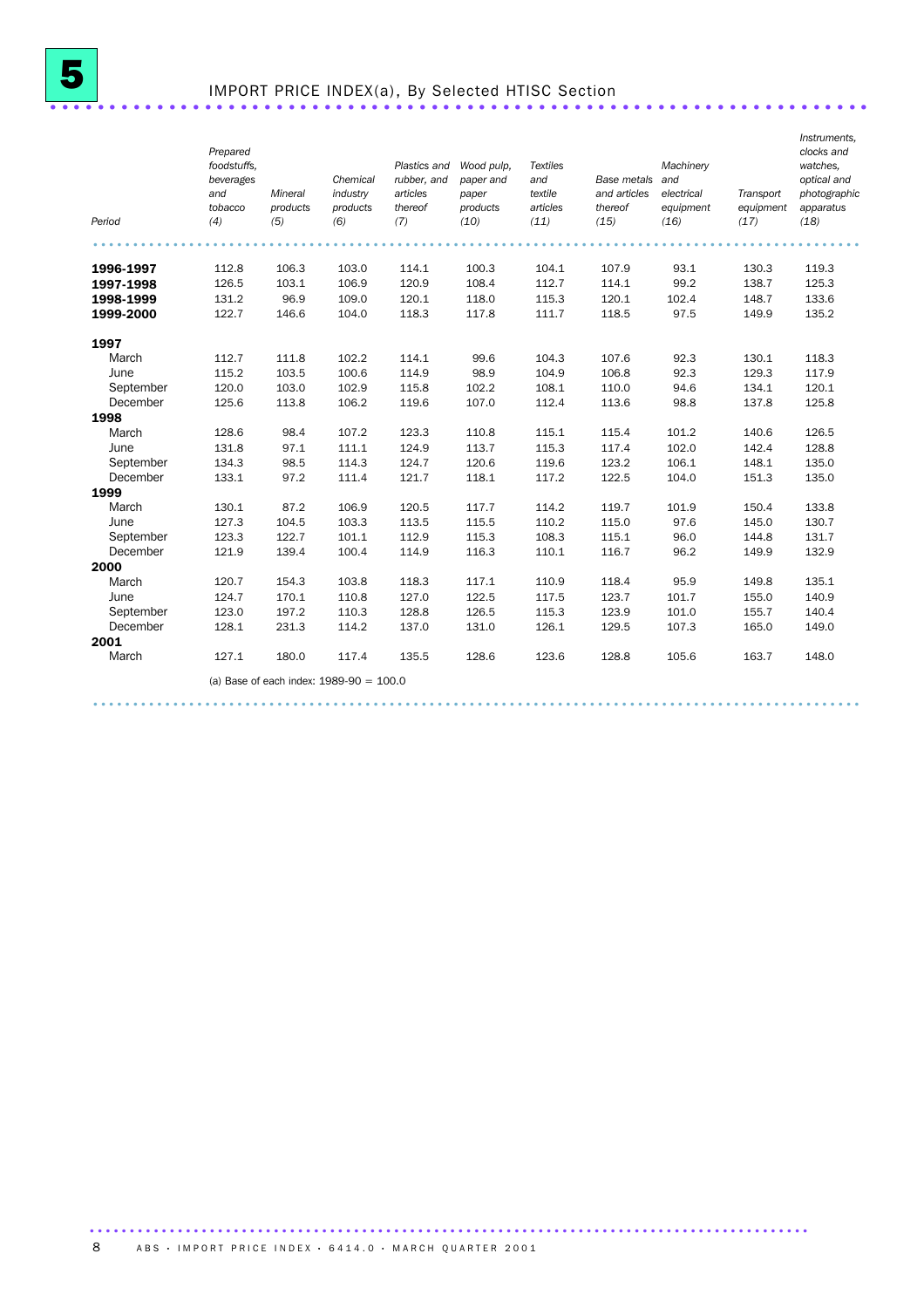## IMPORT PRICE INDEX(a), By Selected HTISC Section ...............................

| Period    | Prepared<br>foodstuffs.<br>beverages<br>and<br>tobacco<br>(4) | Mineral<br>products<br>(5) | Chemical<br>industry<br>products<br>(6)   | Plastics and<br>rubber, and<br>articles<br>thereof<br>(7) | Wood pulp.<br>paper and<br>paper<br>products<br>(10) | <b>Textiles</b><br>and<br>textile<br>articles<br>(11) | Base metals<br>and articles<br>thereof<br>(15) | Machinery<br>and<br>electrical<br>equipment<br>(16) | Transport<br>equipment<br>(17) | Instruments,<br>clocks and<br>watches.<br>optical and<br>photographic<br>apparatus<br>(18) |
|-----------|---------------------------------------------------------------|----------------------------|-------------------------------------------|-----------------------------------------------------------|------------------------------------------------------|-------------------------------------------------------|------------------------------------------------|-----------------------------------------------------|--------------------------------|--------------------------------------------------------------------------------------------|
| 1996-1997 | 112.8                                                         | 106.3                      | 103.0                                     | 114.1                                                     | 100.3                                                | 104.1                                                 | 107.9                                          | 93.1                                                | 130.3                          | 119.3                                                                                      |
| 1997-1998 | 126.5                                                         | 103.1                      | 106.9                                     | 120.9                                                     | 108.4                                                | 112.7                                                 | 114.1                                          | 99.2                                                | 138.7                          | 125.3                                                                                      |
| 1998-1999 | 131.2                                                         | 96.9                       | 109.0                                     | 120.1                                                     | 118.0                                                | 115.3                                                 | 120.1                                          | 102.4                                               | 148.7                          | 133.6                                                                                      |
| 1999-2000 | 122.7                                                         | 146.6                      | 104.0                                     | 118.3                                                     | 117.8                                                | 111.7                                                 | 118.5                                          | 97.5                                                | 149.9                          | 135.2                                                                                      |
|           |                                                               |                            |                                           |                                                           |                                                      |                                                       |                                                |                                                     |                                |                                                                                            |
| 1997      |                                                               |                            |                                           |                                                           |                                                      |                                                       |                                                |                                                     |                                |                                                                                            |
| March     | 112.7                                                         | 111.8                      | 102.2                                     | 114.1                                                     | 99.6                                                 | 104.3                                                 | 107.6                                          | 92.3                                                | 130.1                          | 118.3                                                                                      |
| June      | 115.2                                                         | 103.5                      | 100.6                                     | 114.9                                                     | 98.9                                                 | 104.9                                                 | 106.8                                          | 92.3                                                | 129.3                          | 117.9                                                                                      |
| September | 120.0                                                         | 103.0                      | 102.9                                     | 115.8                                                     | 102.2                                                | 108.1                                                 | 110.0                                          | 94.6                                                | 134.1                          | 120.1                                                                                      |
| December  | 125.6                                                         | 113.8                      | 106.2                                     | 119.6                                                     | 107.0                                                | 112.4                                                 | 113.6                                          | 98.8                                                | 137.8                          | 125.8                                                                                      |
| 1998      |                                                               |                            |                                           |                                                           |                                                      |                                                       |                                                |                                                     |                                |                                                                                            |
| March     | 128.6                                                         | 98.4                       | 107.2                                     | 123.3                                                     | 110.8                                                | 115.1                                                 | 115.4                                          | 101.2                                               | 140.6                          | 126.5                                                                                      |
| June      | 131.8                                                         | 97.1                       | 111.1                                     | 124.9                                                     | 113.7                                                | 115.3                                                 | 117.4                                          | 102.0                                               | 142.4                          | 128.8                                                                                      |
| September | 134.3                                                         | 98.5                       | 114.3                                     | 124.7                                                     | 120.6                                                | 119.6                                                 | 123.2                                          | 106.1                                               | 148.1                          | 135.0                                                                                      |
| December  | 133.1                                                         | 97.2                       | 111.4                                     | 121.7                                                     | 118.1                                                | 117.2                                                 | 122.5                                          | 104.0                                               | 151.3                          | 135.0                                                                                      |
| 1999      |                                                               |                            |                                           |                                                           |                                                      |                                                       |                                                |                                                     |                                |                                                                                            |
| March     | 130.1                                                         | 87.2                       | 106.9                                     | 120.5                                                     | 117.7                                                | 114.2                                                 | 119.7                                          | 101.9                                               | 150.4                          | 133.8                                                                                      |
| June      | 127.3                                                         | 104.5                      | 103.3                                     | 113.5                                                     | 115.5                                                | 110.2                                                 | 115.0                                          | 97.6                                                | 145.0                          | 130.7                                                                                      |
| September | 123.3                                                         | 122.7                      | 101.1                                     | 112.9                                                     | 115.3                                                | 108.3                                                 | 115.1                                          | 96.0                                                | 144.8                          | 131.7                                                                                      |
| December  | 121.9                                                         | 139.4                      | 100.4                                     | 114.9                                                     | 116.3                                                | 110.1                                                 | 116.7                                          | 96.2                                                | 149.9                          | 132.9                                                                                      |
| 2000      |                                                               |                            |                                           |                                                           |                                                      |                                                       |                                                |                                                     |                                |                                                                                            |
| March     | 120.7                                                         | 154.3                      | 103.8                                     | 118.3                                                     | 117.1                                                | 110.9                                                 | 118.4                                          | 95.9                                                | 149.8                          | 135.1                                                                                      |
| June      | 124.7                                                         | 170.1                      | 110.8                                     | 127.0                                                     | 122.5                                                | 117.5                                                 | 123.7                                          | 101.7                                               | 155.0                          | 140.9                                                                                      |
| September | 123.0                                                         | 197.2                      | 110.3                                     | 128.8                                                     | 126.5                                                | 115.3                                                 | 123.9                                          | 101.0                                               | 155.7                          | 140.4                                                                                      |
| December  | 128.1                                                         | 231.3                      | 114.2                                     | 137.0                                                     | 131.0                                                | 126.1                                                 | 129.5                                          | 107.3                                               | 165.0                          | 149.0                                                                                      |
| 2001      |                                                               |                            |                                           |                                                           |                                                      |                                                       |                                                |                                                     |                                |                                                                                            |
| March     | 127.1                                                         | 180.0                      | 117.4                                     | 135.5                                                     | 128.6                                                | 123.6                                                 | 128.8                                          | 105.6                                               | 163.7                          | 148.0                                                                                      |
|           |                                                               |                            | (a) Base of each index: $1989-90 = 100.0$ |                                                           |                                                      |                                                       |                                                |                                                     |                                |                                                                                            |

................................................................................................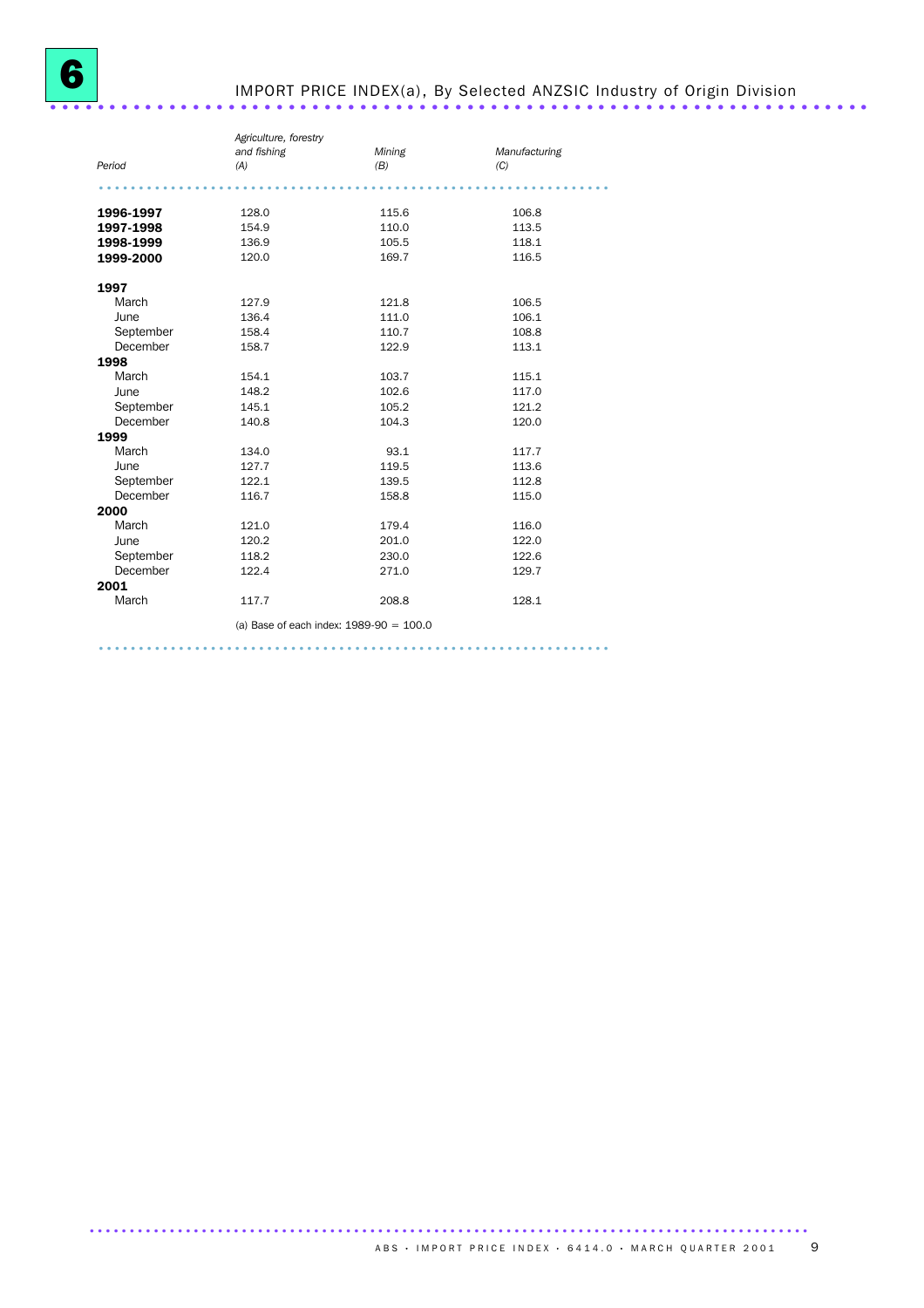## IMPORT PRICE INDEX(a), By Selected ANZSIC Industry of Origin Division .....................................................................

|           | Agriculture, forestry |                                           |               |  |
|-----------|-----------------------|-------------------------------------------|---------------|--|
|           | and fishing           | Mining                                    | Manufacturing |  |
| Period    | (A)                   | (B)                                       | (C)           |  |
|           |                       |                                           |               |  |
|           |                       |                                           |               |  |
| 1996-1997 | 128.0                 | 115.6                                     | 106.8         |  |
| 1997-1998 | 154.9                 | 110.0                                     | 113.5         |  |
| 1998-1999 | 136.9                 | 105.5                                     | 118.1         |  |
| 1999-2000 | 120.0                 | 169.7                                     | 116.5         |  |
| 1997      |                       |                                           |               |  |
| March     | 127.9                 | 121.8                                     | 106.5         |  |
| June      | 136.4                 | 111.0                                     | 106.1         |  |
| September | 158.4                 | 110.7                                     | 108.8         |  |
| December  | 158.7                 | 122.9                                     | 113.1         |  |
| 1998      |                       |                                           |               |  |
| March     | 154.1                 | 103.7                                     | 115.1         |  |
| June      | 148.2                 | 102.6                                     | 117.0         |  |
| September | 145.1                 | 105.2                                     | 121.2         |  |
| December  | 140.8                 | 104.3                                     | 120.0         |  |
| 1999      |                       |                                           |               |  |
| March     | 134.0                 | 93.1                                      | 117.7         |  |
| June      | 127.7                 | 119.5                                     | 113.6         |  |
| September | 122.1                 | 139.5                                     | 112.8         |  |
| December  | 116.7                 | 158.8                                     | 115.0         |  |
| 2000      |                       |                                           |               |  |
| March     | 121.0                 | 179.4                                     | 116.0         |  |
| June      | 120.2                 | 201.0                                     | 122.0         |  |
| September | 118.2                 | 230.0                                     | 122.6         |  |
| December  | 122.4                 | 271.0                                     | 129.7         |  |
| 2001      |                       |                                           |               |  |
| March     | 117.7                 | 208.8                                     | 128.1         |  |
|           |                       | (a) Base of each index: $1989-90 = 100.0$ |               |  |

................................................................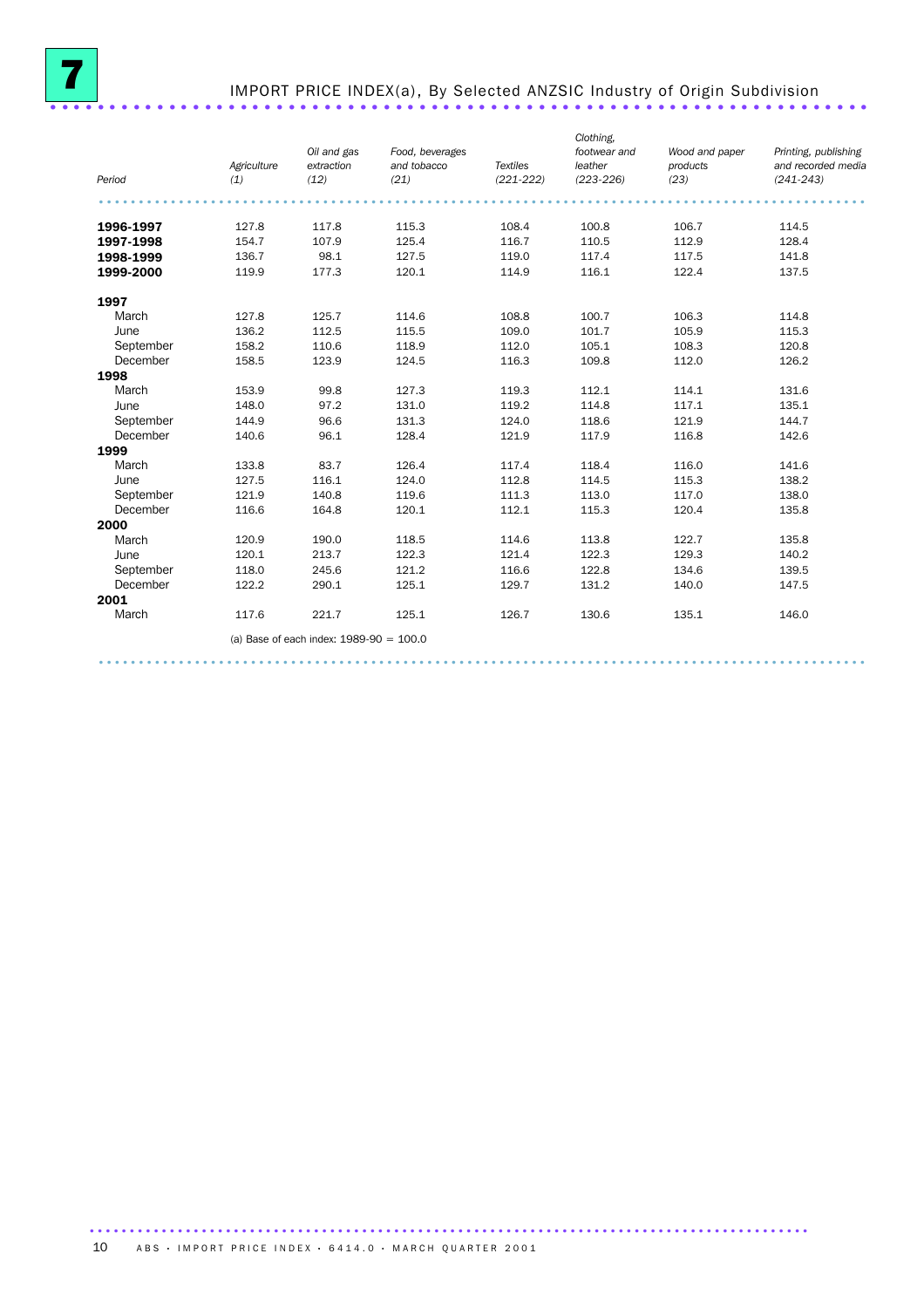

## IMPORT PRICE INDEX(a), By Selected ANZSIC Industry of Origin Subdivision .....................................................................

| Period    | Agriculture<br>(1) | Oil and gas<br>extraction<br>(12)         | Food, beverages<br>and tobacco<br>(21) | <b>Textiles</b><br>$(221 - 222)$ | Clothing.<br>footwear and<br>leather<br>$(223 - 226)$ | Wood and paper<br>products<br>(23) | Printing, publishing<br>and recorded media<br>$(241 - 243)$ |
|-----------|--------------------|-------------------------------------------|----------------------------------------|----------------------------------|-------------------------------------------------------|------------------------------------|-------------------------------------------------------------|
|           |                    |                                           |                                        |                                  |                                                       |                                    |                                                             |
| 1996-1997 | 127.8              | 117.8                                     | 115.3                                  | 108.4                            | 100.8                                                 | 106.7                              | 114.5                                                       |
| 1997-1998 | 154.7              | 107.9                                     | 125.4                                  | 116.7                            | 110.5                                                 | 112.9                              | 128.4                                                       |
| 1998-1999 | 136.7              | 98.1                                      | 127.5                                  | 119.0                            | 117.4                                                 | 117.5                              | 141.8                                                       |
| 1999-2000 | 119.9              | 177.3                                     | 120.1                                  | 114.9                            | 116.1                                                 | 122.4                              | 137.5                                                       |
|           |                    |                                           |                                        |                                  |                                                       |                                    |                                                             |
| 1997      |                    |                                           |                                        |                                  |                                                       |                                    |                                                             |
| March     | 127.8              | 125.7                                     | 114.6                                  | 108.8                            | 100.7                                                 | 106.3                              | 114.8                                                       |
| June      | 136.2              | 112.5                                     | 115.5                                  | 109.0                            | 101.7                                                 | 105.9                              | 115.3                                                       |
| September | 158.2              | 110.6                                     | 118.9                                  | 112.0                            | 105.1                                                 | 108.3                              | 120.8                                                       |
| December  | 158.5              | 123.9                                     | 124.5                                  | 116.3                            | 109.8                                                 | 112.0                              | 126.2                                                       |
| 1998      |                    |                                           |                                        |                                  |                                                       |                                    |                                                             |
| March     | 153.9              | 99.8                                      | 127.3                                  | 119.3                            | 112.1                                                 | 114.1                              | 131.6                                                       |
| June      | 148.0              | 97.2                                      | 131.0                                  | 119.2                            | 114.8                                                 | 117.1                              | 135.1                                                       |
| September | 144.9              | 96.6                                      | 131.3                                  | 124.0                            | 118.6                                                 | 121.9                              | 144.7                                                       |
| December  | 140.6              | 96.1                                      | 128.4                                  | 121.9                            | 117.9                                                 | 116.8                              | 142.6                                                       |
| 1999      |                    |                                           |                                        |                                  |                                                       |                                    |                                                             |
| March     | 133.8              | 83.7                                      | 126.4                                  | 117.4                            | 118.4                                                 | 116.0                              | 141.6                                                       |
| June      | 127.5              | 116.1                                     | 124.0                                  | 112.8                            | 114.5                                                 | 115.3                              | 138.2                                                       |
| September | 121.9              | 140.8                                     | 119.6                                  | 111.3                            | 113.0                                                 | 117.0                              | 138.0                                                       |
| December  | 116.6              | 164.8                                     | 120.1                                  | 112.1                            | 115.3                                                 | 120.4                              | 135.8                                                       |
| 2000      |                    |                                           |                                        |                                  |                                                       |                                    |                                                             |
| March     | 120.9              | 190.0                                     | 118.5                                  | 114.6                            | 113.8                                                 | 122.7                              | 135.8                                                       |
| June      | 120.1              | 213.7                                     | 122.3                                  | 121.4                            | 122.3                                                 | 129.3                              | 140.2                                                       |
| September | 118.0              | 245.6                                     | 121.2                                  | 116.6                            | 122.8                                                 | 134.6                              | 139.5                                                       |
| December  | 122.2              | 290.1                                     | 125.1                                  | 129.7                            | 131.2                                                 | 140.0                              | 147.5                                                       |
| 2001      |                    |                                           |                                        |                                  |                                                       |                                    |                                                             |
| March     | 117.6              | 221.7                                     | 125.1                                  | 126.7                            | 130.6                                                 | 135.1                              | 146.0                                                       |
|           |                    | (a) Base of each index: $1989-90 = 100.0$ |                                        |                                  |                                                       |                                    |                                                             |
|           |                    |                                           |                                        |                                  |                                                       |                                    |                                                             |

................................................................................................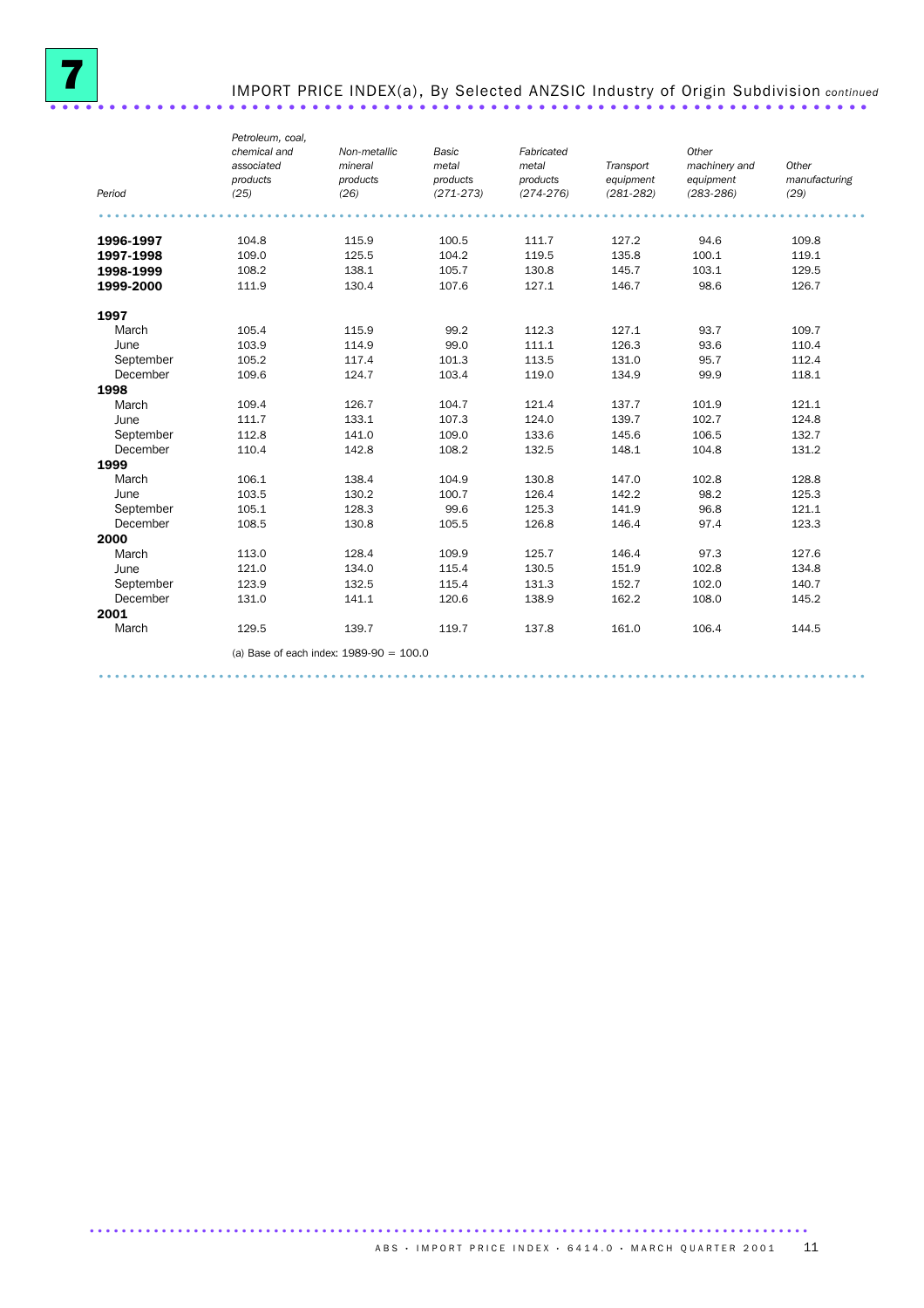

# IMPORT PRICE INDEX(a), By Selected ANZSIC Industry of Origin Subdivision *continued* .....................................................................

|           | Petroleum, coal,<br>chemical and | Non-metallic                              | Basic         | Fabricated    |               | Other         |               |
|-----------|----------------------------------|-------------------------------------------|---------------|---------------|---------------|---------------|---------------|
|           | associated                       | mineral                                   | metal         | metal         | Transport     | machinery and | Other         |
|           | products                         | products                                  | products      | products      | equipment     | equipment     | manufacturing |
| Period    | (25)                             | (26)                                      | $(271 - 273)$ | $(274 - 276)$ | $(281 - 282)$ | $(283 - 286)$ | (29)          |
|           |                                  |                                           |               |               |               |               |               |
|           |                                  |                                           |               |               |               |               |               |
| 1996-1997 | 104.8                            | 115.9                                     | 100.5         | 111.7         | 127.2         | 94.6          | 109.8         |
| 1997-1998 | 109.0                            | 125.5                                     | 104.2         | 119.5         | 135.8         | 100.1         | 119.1         |
| 1998-1999 | 108.2                            | 138.1                                     | 105.7         | 130.8         | 145.7         | 103.1         | 129.5         |
| 1999-2000 | 111.9                            | 130.4                                     | 107.6         | 127.1         | 146.7         | 98.6          | 126.7         |
|           |                                  |                                           |               |               |               |               |               |
| 1997      |                                  |                                           |               |               |               |               |               |
| March     | 105.4                            | 115.9                                     | 99.2          | 112.3         | 127.1         | 93.7          | 109.7         |
| June      | 103.9                            | 114.9                                     | 99.0          | 111.1         | 126.3         | 93.6          | 110.4         |
| September | 105.2                            | 117.4                                     | 101.3         | 113.5         | 131.0         | 95.7          | 112.4         |
| December  | 109.6                            | 124.7                                     | 103.4         | 119.0         | 134.9         | 99.9          | 118.1         |
| 1998      |                                  |                                           |               |               |               |               |               |
| March     | 109.4                            | 126.7                                     | 104.7         | 121.4         | 137.7         | 101.9         | 121.1         |
| June      | 111.7                            | 133.1                                     | 107.3         | 124.0         | 139.7         | 102.7         | 124.8         |
| September | 112.8                            | 141.0                                     | 109.0         | 133.6         | 145.6         | 106.5         | 132.7         |
| December  | 110.4                            | 142.8                                     | 108.2         | 132.5         | 148.1         | 104.8         | 131.2         |
| 1999      |                                  |                                           |               |               |               |               |               |
| March     | 106.1                            | 138.4                                     | 104.9         | 130.8         | 147.0         | 102.8         | 128.8         |
| June      | 103.5                            | 130.2                                     | 100.7         | 126.4         | 142.2         | 98.2          | 125.3         |
| September | 105.1                            | 128.3                                     | 99.6          | 125.3         | 141.9         | 96.8          | 121.1         |
| December  | 108.5                            | 130.8                                     | 105.5         | 126.8         | 146.4         | 97.4          | 123.3         |
| 2000      |                                  |                                           |               |               |               |               |               |
| March     | 113.0                            | 128.4                                     | 109.9         | 125.7         | 146.4         | 97.3          | 127.6         |
| June      | 121.0                            | 134.0                                     | 115.4         | 130.5         | 151.9         | 102.8         | 134.8         |
| September | 123.9                            | 132.5                                     | 115.4         | 131.3         | 152.7         | 102.0         | 140.7         |
| December  | 131.0                            | 141.1                                     | 120.6         | 138.9         | 162.2         | 108.0         | 145.2         |
| 2001      |                                  |                                           |               |               |               |               |               |
| March     | 129.5                            | 139.7                                     | 119.7         | 137.8         | 161.0         | 106.4         | 144.5         |
|           |                                  | (a) Base of each index: $1989-90 = 100.0$ |               |               |               |               |               |
|           |                                  |                                           |               |               |               |               |               |

................................................................................................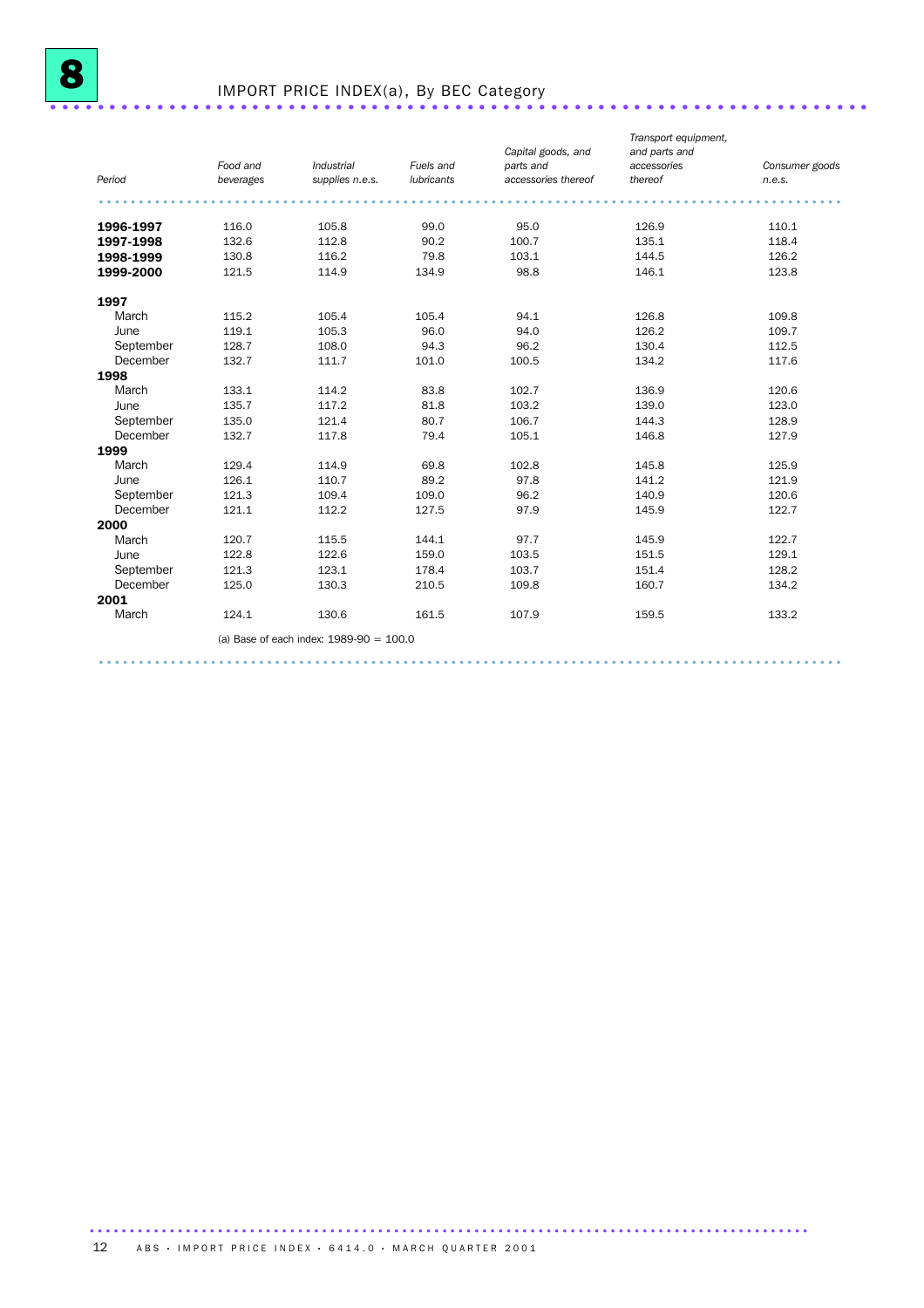

## IMPORT PRICE INDEX(a), By BEC Category .....................................................................

|           |           |                                           |            | Capital goods, and  | Transport equipment,<br>and parts and |                |
|-----------|-----------|-------------------------------------------|------------|---------------------|---------------------------------------|----------------|
|           | Food and  | Industrial                                | Fuels and  | parts and           | accessories                           | Consumer goods |
| Period    | beverages | supplies n.e.s.                           | lubricants | accessories thereof | thereof                               | n.e.s.         |
|           |           |                                           |            |                     |                                       |                |
| 1996-1997 | 116.0     | 105.8                                     | 99.0       | 95.0                | 126.9                                 | 110.1          |
| 1997-1998 | 132.6     | 112.8                                     | 90.2       | 100.7               | 135.1                                 | 118.4          |
| 1998-1999 | 130.8     | 116.2                                     | 79.8       | 103.1               | 144.5                                 | 126.2          |
| 1999-2000 | 121.5     | 114.9                                     | 134.9      | 98.8                | 146.1                                 | 123.8          |
| 1997      |           |                                           |            |                     |                                       |                |
| March     | 115.2     | 105.4                                     | 105.4      | 94.1                | 126.8                                 | 109.8          |
| June      | 119.1     | 105.3                                     | 96.0       | 94.0                | 126.2                                 | 109.7          |
| September | 128.7     | 108.0                                     | 94.3       | 96.2                | 130.4                                 | 112.5          |
| December  | 132.7     | 111.7                                     | 101.0      | 100.5               | 134.2                                 | 117.6          |
| 1998      |           |                                           |            |                     |                                       |                |
| March     | 133.1     | 114.2                                     | 83.8       | 102.7               | 136.9                                 | 120.6          |
| June      | 135.7     | 117.2                                     | 81.8       | 103.2               | 139.0                                 | 123.0          |
| September | 135.0     | 121.4                                     | 80.7       | 106.7               | 144.3                                 | 128.9          |
| December  | 132.7     | 117.8                                     | 79.4       | 105.1               | 146.8                                 | 127.9          |
| 1999      |           |                                           |            |                     |                                       |                |
| March     | 129.4     | 114.9                                     | 69.8       | 102.8               | 145.8                                 | 125.9          |
| June      | 126.1     | 110.7                                     | 89.2       | 97.8                | 141.2                                 | 121.9          |
| September | 121.3     | 109.4                                     | 109.0      | 96.2                | 140.9                                 | 120.6          |
| December  | 121.1     | 112.2                                     | 127.5      | 97.9                | 145.9                                 | 122.7          |
| 2000      |           |                                           |            |                     |                                       |                |
| March     | 120.7     | 115.5                                     | 144.1      | 97.7                | 145.9                                 | 122.7          |
| June      | 122.8     | 122.6                                     | 159.0      | 103.5               | 151.5                                 | 129.1          |
| September | 121.3     | 123.1                                     | 178.4      | 103.7               | 151.4                                 | 128.2          |
| December  | 125.0     | 130.3                                     | 210.5      | 109.8               | 160.7                                 | 134.2          |
| 2001      |           |                                           |            |                     |                                       |                |
| March     | 124.1     | 130.6                                     | 161.5      | 107.9               | 159.5                                 | 133.2          |
|           |           | (a) Base of each index: $1989-90 = 100.0$ |            |                     |                                       |                |

.............................................................................................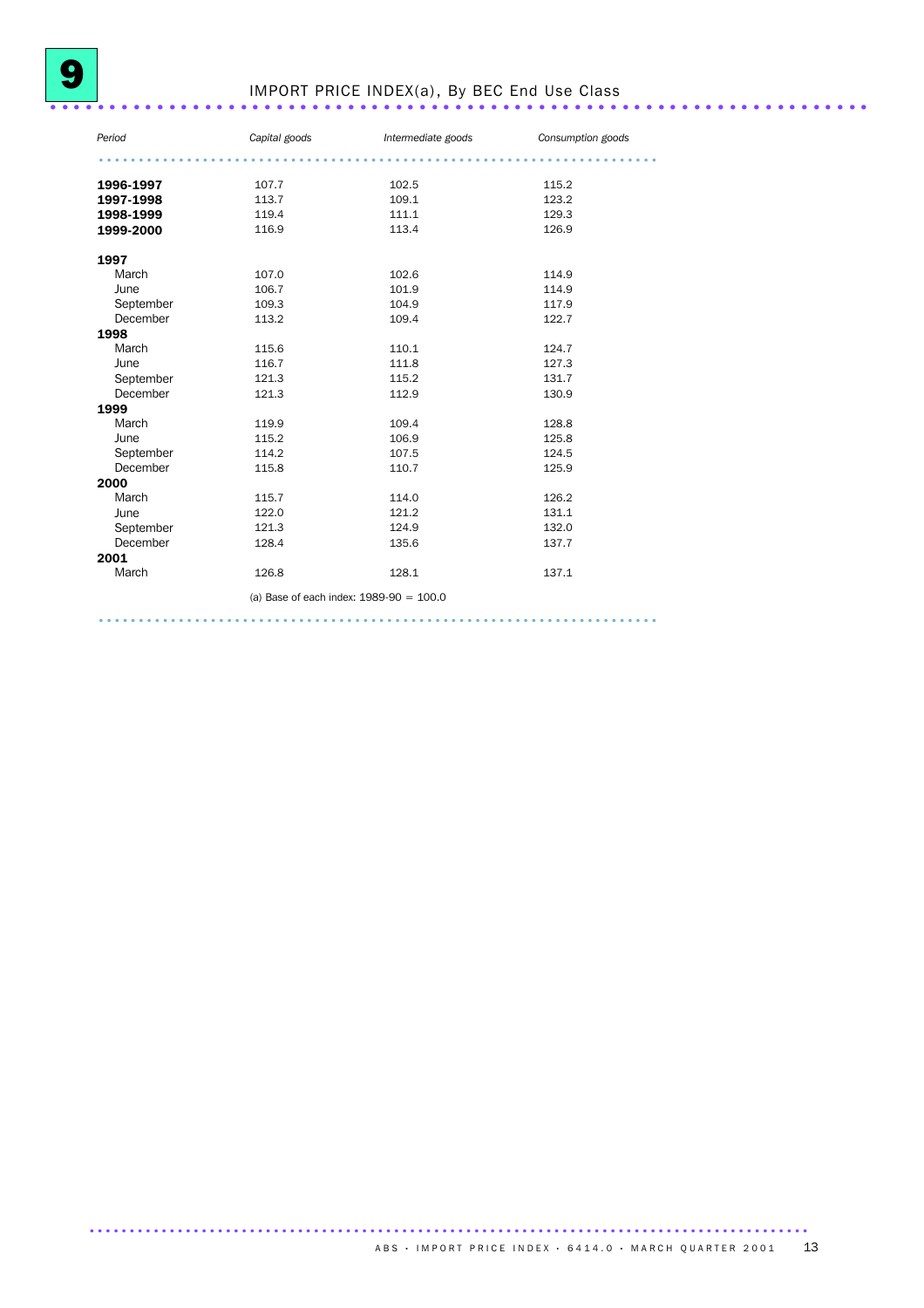# IMPORT PRICE INDEX(a), By BEC End Use Class .....................................................................

| Period    | Capital goods                             | Intermediate goods | Consumption goods |
|-----------|-------------------------------------------|--------------------|-------------------|
|           |                                           |                    |                   |
| 1996-1997 | 107.7                                     | 102.5              | 115.2             |
| 1997-1998 | 113.7                                     | 109.1              | 123.2             |
| 1998-1999 | 119.4                                     | 111.1              | 129.3             |
| 1999-2000 | 116.9                                     | 113.4              | 126.9             |
| 1997      |                                           |                    |                   |
| March     | 107.0                                     | 102.6              | 114.9             |
| June      | 106.7                                     | 101.9              | 114.9             |
| September | 109.3                                     | 104.9              | 117.9             |
| December  | 113.2                                     | 109.4              | 122.7             |
| 1998      |                                           |                    |                   |
| March     | 115.6                                     | 110.1              | 124.7             |
| June      | 116.7                                     | 111.8              | 127.3             |
| September | 121.3                                     | 115.2              | 131.7             |
| December  | 121.3                                     | 112.9              | 130.9             |
| 1999      |                                           |                    |                   |
| March     | 119.9                                     | 109.4              | 128.8             |
| June      | 115.2                                     | 106.9              | 125.8             |
| September | 114.2                                     | 107.5              | 124.5             |
| December  | 115.8                                     | 110.7              | 125.9             |
| 2000      |                                           |                    |                   |
| March     | 115.7                                     | 114.0              | 126.2             |
| June      | 122.0                                     | 121.2              | 131.1             |
| September | 121.3                                     | 124.9              | 132.0             |
| December  | 128.4                                     | 135.6              | 137.7             |
| 2001      |                                           |                    |                   |
| March     | 126.8                                     | 128.1              | 137.1             |
|           | (a) Base of each index: $1989-90 = 100.0$ |                    |                   |
|           |                                           |                    |                   |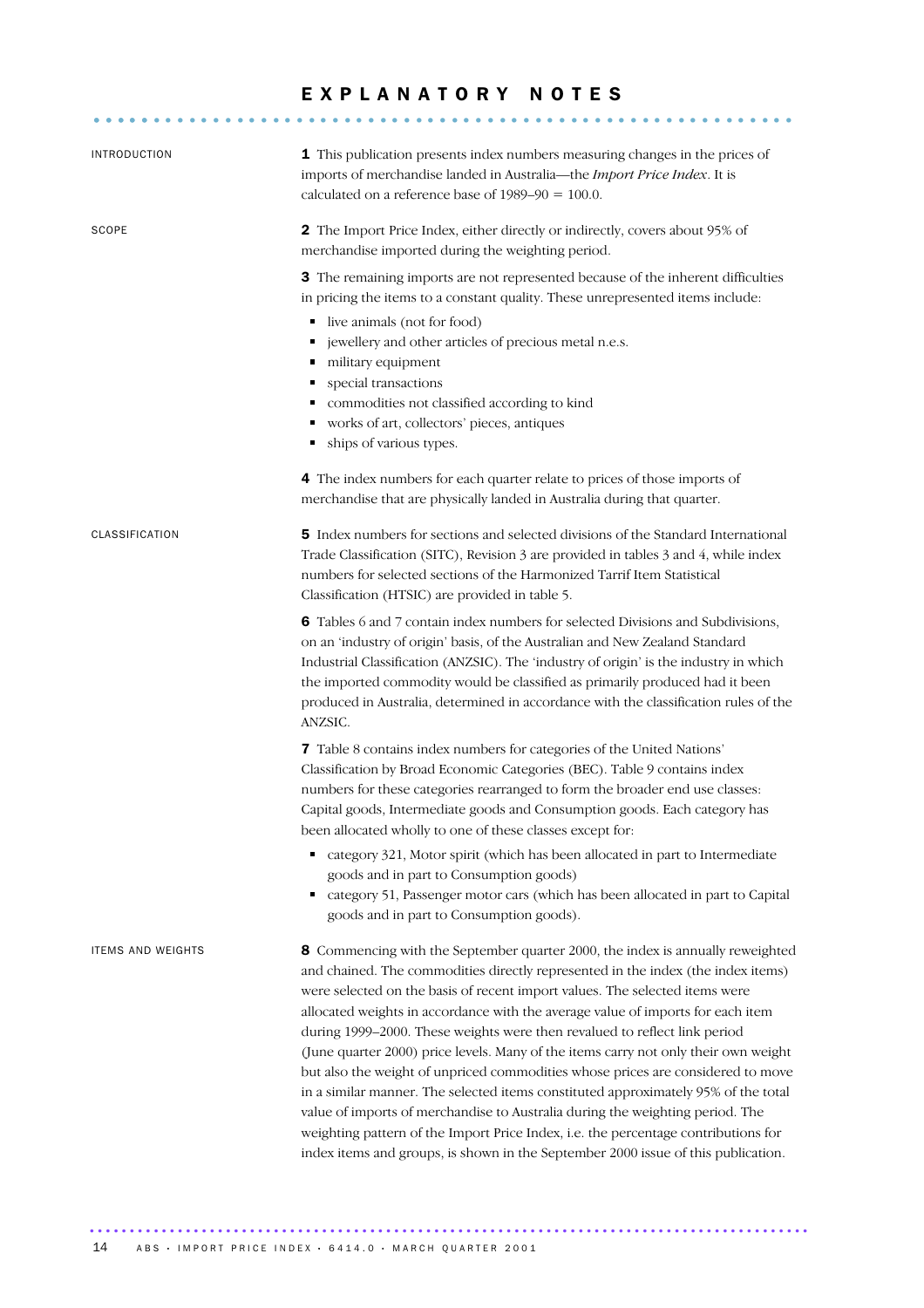### EXPLANATORY NOTES

........................................................... .....

| <b>INTRODUCTION</b>      | 1 This publication presents index numbers measuring changes in the prices of<br>imports of merchandise landed in Australia-the Import Price Index. It is<br>calculated on a reference base of $1989-90 = 100.0$ .                                                                                                                                                                                                                                                                                                                                                                                                                                                                                                                                                                                                                                                                                                                             |
|--------------------------|-----------------------------------------------------------------------------------------------------------------------------------------------------------------------------------------------------------------------------------------------------------------------------------------------------------------------------------------------------------------------------------------------------------------------------------------------------------------------------------------------------------------------------------------------------------------------------------------------------------------------------------------------------------------------------------------------------------------------------------------------------------------------------------------------------------------------------------------------------------------------------------------------------------------------------------------------|
| SCOPE                    | 2 The Import Price Index, either directly or indirectly, covers about 95% of<br>merchandise imported during the weighting period.                                                                                                                                                                                                                                                                                                                                                                                                                                                                                                                                                                                                                                                                                                                                                                                                             |
|                          | 3 The remaining imports are not represented because of the inherent difficulties<br>in pricing the items to a constant quality. These unrepresented items include:<br>live animals (not for food)<br>۹<br>jewellery and other articles of precious metal n.e.s.<br>п<br>military equipment<br>٠<br>special transactions<br>commodities not classified according to kind<br>п<br>works of art, collectors' pieces, antiques<br>ships of various types.                                                                                                                                                                                                                                                                                                                                                                                                                                                                                         |
|                          | 4 The index numbers for each quarter relate to prices of those imports of<br>merchandise that are physically landed in Australia during that quarter.                                                                                                                                                                                                                                                                                                                                                                                                                                                                                                                                                                                                                                                                                                                                                                                         |
| CLASSIFICATION           | 5 Index numbers for sections and selected divisions of the Standard International<br>Trade Classification (SITC), Revision 3 are provided in tables 3 and 4, while index<br>numbers for selected sections of the Harmonized Tarrif Item Statistical<br>Classification (HTSIC) are provided in table 5.                                                                                                                                                                                                                                                                                                                                                                                                                                                                                                                                                                                                                                        |
|                          | 6 Tables 6 and 7 contain index numbers for selected Divisions and Subdivisions,<br>on an 'industry of origin' basis, of the Australian and New Zealand Standard<br>Industrial Classification (ANZSIC). The 'industry of origin' is the industry in which<br>the imported commodity would be classified as primarily produced had it been<br>produced in Australia, determined in accordance with the classification rules of the<br>ANZSIC.                                                                                                                                                                                                                                                                                                                                                                                                                                                                                                   |
|                          | 7 Table 8 contains index numbers for categories of the United Nations'<br>Classification by Broad Economic Categories (BEC). Table 9 contains index<br>numbers for these categories rearranged to form the broader end use classes:<br>Capital goods, Intermediate goods and Consumption goods. Each category has<br>been allocated wholly to one of these classes except for:                                                                                                                                                                                                                                                                                                                                                                                                                                                                                                                                                                |
|                          | category 321, Motor spirit (which has been allocated in part to Intermediate<br>٠<br>goods and in part to Consumption goods)<br>category 51, Passenger motor cars (which has been allocated in part to Capital<br>goods and in part to Consumption goods).                                                                                                                                                                                                                                                                                                                                                                                                                                                                                                                                                                                                                                                                                    |
| <b>ITEMS AND WEIGHTS</b> | 8 Commencing with the September quarter 2000, the index is annually reweighted<br>and chained. The commodities directly represented in the index (the index items)<br>were selected on the basis of recent import values. The selected items were<br>allocated weights in accordance with the average value of imports for each item<br>during 1999-2000. These weights were then revalued to reflect link period<br>(June quarter 2000) price levels. Many of the items carry not only their own weight<br>but also the weight of unpriced commodities whose prices are considered to move<br>in a similar manner. The selected items constituted approximately 95% of the total<br>value of imports of merchandise to Australia during the weighting period. The<br>weighting pattern of the Import Price Index, i.e. the percentage contributions for<br>index items and groups, is shown in the September 2000 issue of this publication. |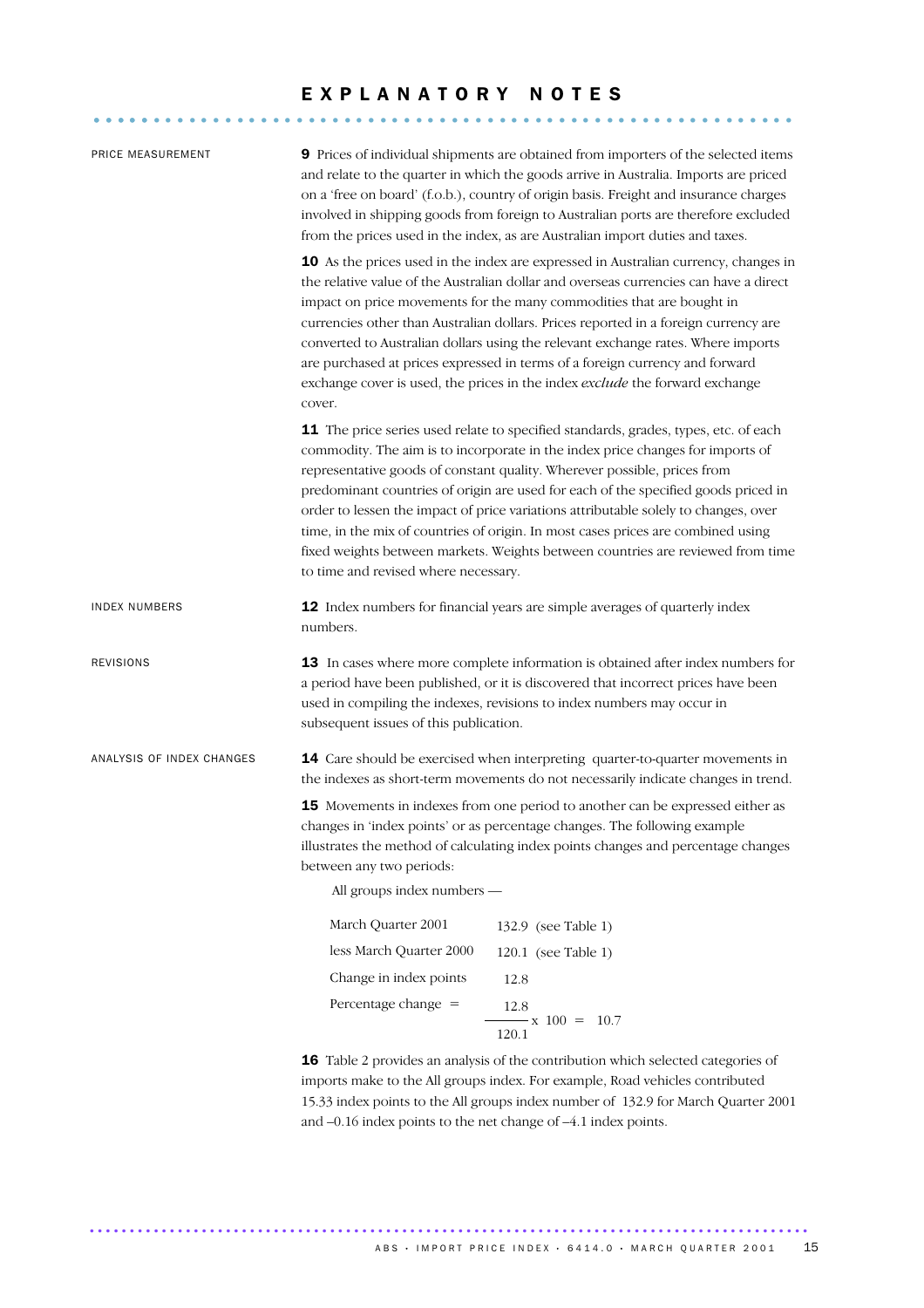### E X P L A N A T O R Y N O T E S

........................................................... .....

| PRICE MEASUREMENT         | 9 Prices of individual shipments are obtained from importers of the selected items<br>and relate to the quarter in which the goods arrive in Australia. Imports are priced<br>on a 'free on board' (f.o.b.), country of origin basis. Freight and insurance charges<br>involved in shipping goods from foreign to Australian ports are therefore excluded<br>from the prices used in the index, as are Australian import duties and taxes.                                                                                                                                                                                                    |  |  |  |
|---------------------------|-----------------------------------------------------------------------------------------------------------------------------------------------------------------------------------------------------------------------------------------------------------------------------------------------------------------------------------------------------------------------------------------------------------------------------------------------------------------------------------------------------------------------------------------------------------------------------------------------------------------------------------------------|--|--|--|
|                           | 10 As the prices used in the index are expressed in Australian currency, changes in<br>the relative value of the Australian dollar and overseas currencies can have a direct<br>impact on price movements for the many commodities that are bought in<br>currencies other than Australian dollars. Prices reported in a foreign currency are<br>converted to Australian dollars using the relevant exchange rates. Where imports<br>are purchased at prices expressed in terms of a foreign currency and forward<br>exchange cover is used, the prices in the index exclude the forward exchange<br>cover.                                    |  |  |  |
|                           | 11 The price series used relate to specified standards, grades, types, etc. of each<br>commodity. The aim is to incorporate in the index price changes for imports of<br>representative goods of constant quality. Wherever possible, prices from<br>predominant countries of origin are used for each of the specified goods priced in<br>order to lessen the impact of price variations attributable solely to changes, over<br>time, in the mix of countries of origin. In most cases prices are combined using<br>fixed weights between markets. Weights between countries are reviewed from time<br>to time and revised where necessary. |  |  |  |
| <b>INDEX NUMBERS</b>      | 12 Index numbers for financial years are simple averages of quarterly index<br>numbers.                                                                                                                                                                                                                                                                                                                                                                                                                                                                                                                                                       |  |  |  |
| <b>REVISIONS</b>          | 13 In cases where more complete information is obtained after index numbers for<br>a period have been published, or it is discovered that incorrect prices have been<br>used in compiling the indexes, revisions to index numbers may occur in<br>subsequent issues of this publication.                                                                                                                                                                                                                                                                                                                                                      |  |  |  |
| ANALYSIS OF INDEX CHANGES | 14 Care should be exercised when interpreting quarter-to-quarter movements in<br>the indexes as short-term movements do not necessarily indicate changes in trend.                                                                                                                                                                                                                                                                                                                                                                                                                                                                            |  |  |  |
|                           | 15 Movements in indexes from one period to another can be expressed either as<br>changes in 'index points' or as percentage changes. The following example<br>illustrates the method of calculating index points changes and percentage changes<br>between any two periods:<br>All groups index numbers —                                                                                                                                                                                                                                                                                                                                     |  |  |  |
|                           | March Quarter 2001<br>132.9 (see Table 1)                                                                                                                                                                                                                                                                                                                                                                                                                                                                                                                                                                                                     |  |  |  |
|                           | less March Quarter 2000<br>120.1 (see Table 1)                                                                                                                                                                                                                                                                                                                                                                                                                                                                                                                                                                                                |  |  |  |
|                           | Change in index points<br>12.8                                                                                                                                                                                                                                                                                                                                                                                                                                                                                                                                                                                                                |  |  |  |
|                           | Percentage change $=$<br>12.8<br>$-x 100 = 10.7$<br>120.1                                                                                                                                                                                                                                                                                                                                                                                                                                                                                                                                                                                     |  |  |  |
|                           | 16 Table 2 provides an analysis of the contribution which selected categories of<br>imports make to the All groups index. For example, Road vehicles contributed<br>15.33 index points to the All groups index number of 132.9 for March Quarter 2001                                                                                                                                                                                                                                                                                                                                                                                         |  |  |  |

and –0.16 index points to the net change of –4.1 index points.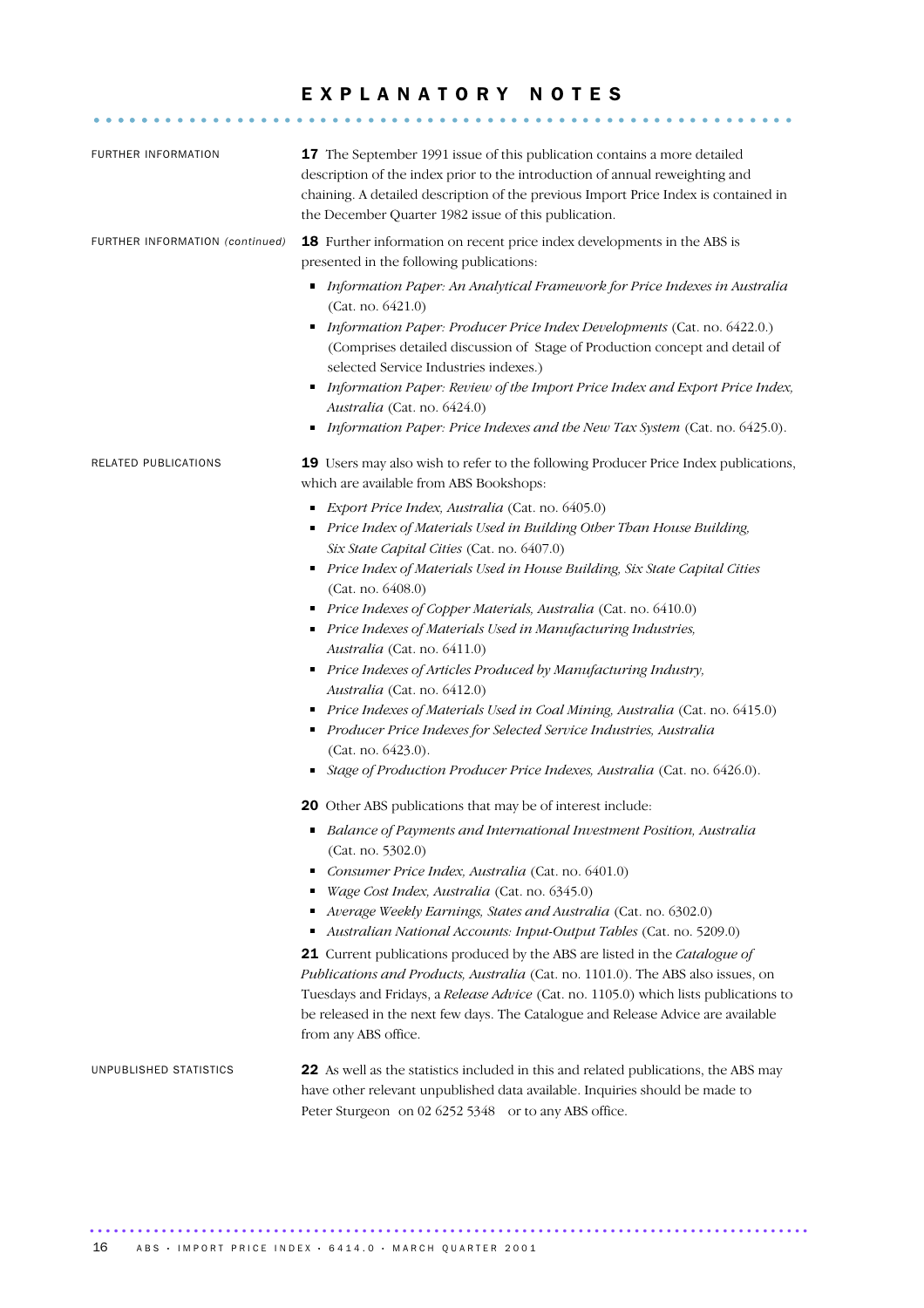### EXPLANATORY NOTES

........................................................... .....

| <b>FURTHER INFORMATION</b>      | 17 The September 1991 issue of this publication contains a more detailed<br>description of the index prior to the introduction of annual reweighting and<br>chaining. A detailed description of the previous Import Price Index is contained in<br>the December Quarter 1982 issue of this publication.                                                                                                                                                                                                                                                                                                                                                                                                                                                                                                                      |
|---------------------------------|------------------------------------------------------------------------------------------------------------------------------------------------------------------------------------------------------------------------------------------------------------------------------------------------------------------------------------------------------------------------------------------------------------------------------------------------------------------------------------------------------------------------------------------------------------------------------------------------------------------------------------------------------------------------------------------------------------------------------------------------------------------------------------------------------------------------------|
| FURTHER INFORMATION (continued) | 18 Further information on recent price index developments in the ABS is<br>presented in the following publications:                                                                                                                                                                                                                                                                                                                                                                                                                                                                                                                                                                                                                                                                                                          |
|                                 | Information Paper: An Analytical Framework for Price Indexes in Australia<br>(Cat. no. 6421.0)<br>Information Paper: Producer Price Index Developments (Cat. no. 6422.0.)<br>٠<br>(Comprises detailed discussion of Stage of Production concept and detail of<br>selected Service Industries indexes.)<br>Information Paper: Review of the Import Price Index and Export Price Index,<br>٠<br>Australia (Cat. no. 6424.0)<br>Information Paper: Price Indexes and the New Tax System (Cat. no. 6425.0).<br>٠                                                                                                                                                                                                                                                                                                                 |
| RELATED PUBLICATIONS            | 19 Users may also wish to refer to the following Producer Price Index publications,<br>which are available from ABS Bookshops:                                                                                                                                                                                                                                                                                                                                                                                                                                                                                                                                                                                                                                                                                               |
|                                 | Export Price Index, Australia (Cat. no. 6405.0)<br>٠<br>Price Index of Materials Used in Building Other Than House Building,<br>Six State Capital Cities (Cat. no. 6407.0)<br>Price Index of Materials Used in House Building, Six State Capital Cities<br>٠<br>(Cat. no. 6408.0)<br>Price Indexes of Copper Materials, Australia (Cat. no. 6410.0)<br>٠<br>Price Indexes of Materials Used in Manufacturing Industries,<br>٠<br>Australia (Cat. no. 6411.0)<br>Price Indexes of Articles Produced by Manufacturing Industry,<br>п<br>Australia (Cat. no. 6412.0)<br>Price Indexes of Materials Used in Coal Mining, Australia (Cat. no. 6415.0)<br>Producer Price Indexes for Selected Service Industries, Australia<br>п<br>(Cat. no. 6423.0).<br>Stage of Production Producer Price Indexes, Australia (Cat. no. 6426.0). |
|                                 |                                                                                                                                                                                                                                                                                                                                                                                                                                                                                                                                                                                                                                                                                                                                                                                                                              |
|                                 | 20 Other ABS publications that may be of interest include:<br>Balance of Payments and International Investment Position, Australia<br>(Cat. no. 5302.0)<br>Consumer Price Index, Australia (Cat. no. 6401.0)<br>Wage Cost Index, Australia (Cat. no. 6345.0)<br>Average Weekly Earnings, States and Australia (Cat. no. 6302.0)<br>Australian National Accounts: Input-Output Tables (Cat. no. 5209.0)<br>21 Current publications produced by the ABS are listed in the Catalogue of<br>Publications and Products, Australia (Cat. no. 1101.0). The ABS also issues, on<br>Tuesdays and Fridays, a Release Advice (Cat. no. 1105.0) which lists publications to<br>be released in the next few days. The Catalogue and Release Advice are available<br>from any ABS office.                                                  |
| UNPUBLISHED STATISTICS          | 22 As well as the statistics included in this and related publications, the ABS may<br>have other relevant unpublished data available. Inquiries should be made to<br>Peter Sturgeon on 02 6252 5348 or to any ABS office.                                                                                                                                                                                                                                                                                                                                                                                                                                                                                                                                                                                                   |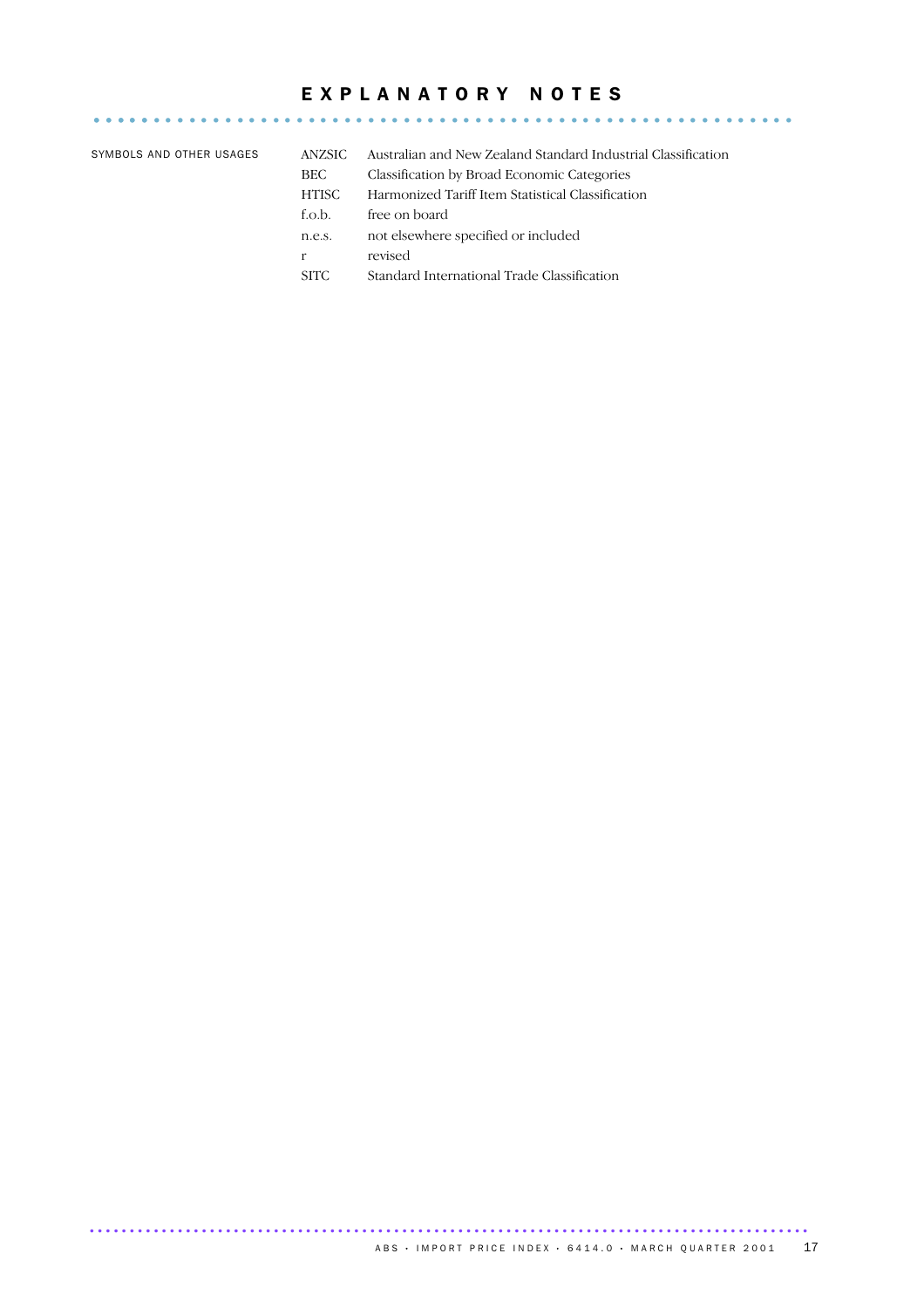### EXPLANATORY NOTES

........................................................... .....

| SYMBOLS AND OTHER USAGES | ANZSIC.     | Australian and New Zealand Standard Industrial Classification |
|--------------------------|-------------|---------------------------------------------------------------|
|                          | BEC         | Classification by Broad Economic Categories                   |
|                          | HTISC       | Harmonized Tariff Item Statistical Classification             |
|                          | f.o.b.      | free on board                                                 |
|                          | n.e.s.      | not elsewhere specified or included                           |
|                          | r           | revised                                                       |
|                          | <b>SITC</b> | Standard International Trade Classification                   |
|                          |             |                                                               |